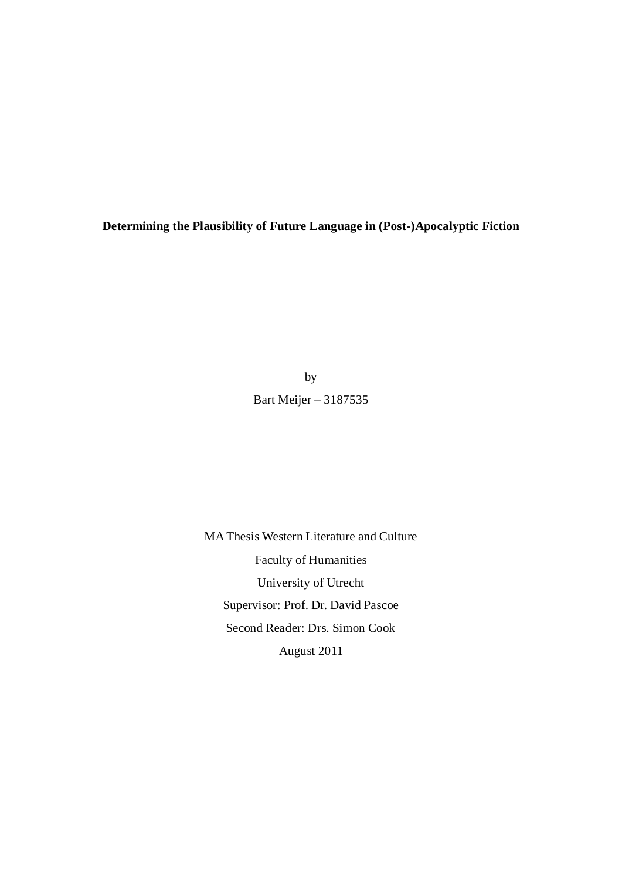**Determining the Plausibility of Future Language in (Post-)Apocalyptic Fiction**

by Bart Meijer – 3187535

MA Thesis Western Literature and Culture Faculty of Humanities University of Utrecht Supervisor: Prof. Dr. David Pascoe Second Reader: Drs. Simon Cook August 2011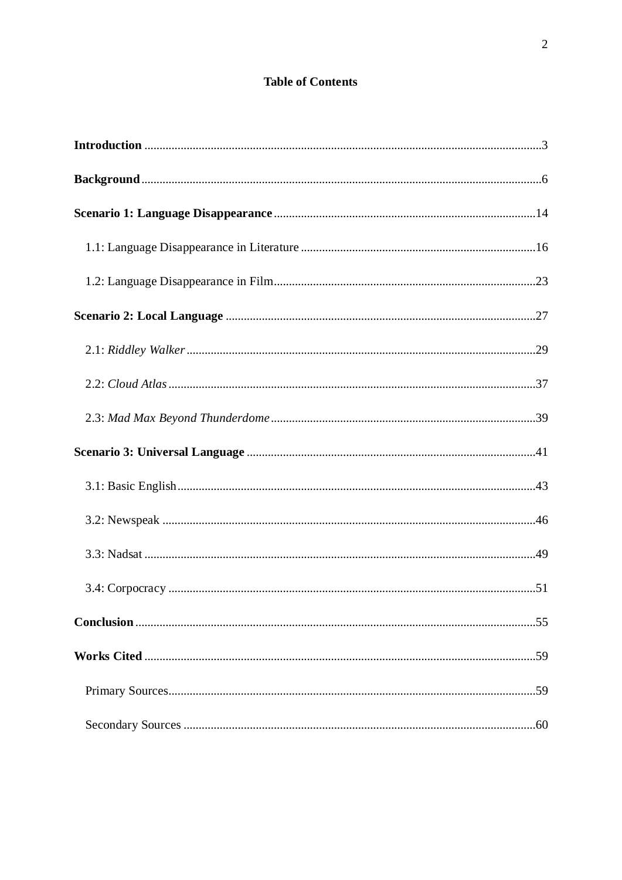# **Table of Contents**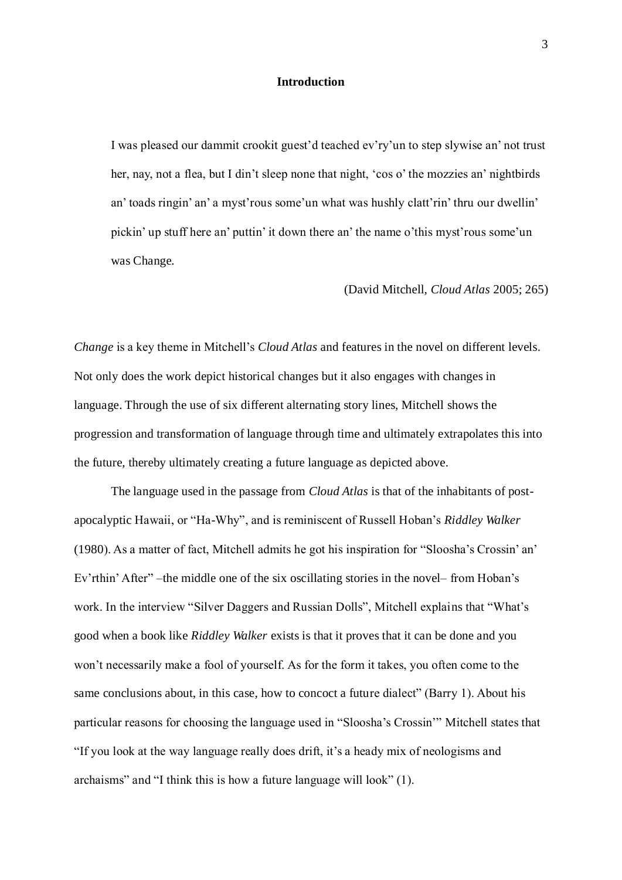## **Introduction**

I was pleased our dammit crookit guest'd teached ev'ry'un to step slywise an' not trust her, nay, not a flea, but I din't sleep none that night, 'cos o' the mozzies an' nightbirds an' toads ringin' an' a myst'rous some'un what was hushly clatt'rin' thru our dwellin' pickin' up stuff here an' puttin' it down there an' the name o'this myst'rous some'un was Change.

(David Mitchell, *Cloud Atlas* 2005; 265)

*Change* is a key theme in Mitchell's *Cloud Atlas* and features in the novel on different levels. Not only does the work depict historical changes but it also engages with changes in language. Through the use of six different alternating story lines, Mitchell shows the progression and transformation of language through time and ultimately extrapolates this into the future, thereby ultimately creating a future language as depicted above.

The language used in the passage from *Cloud Atlas* is that of the inhabitants of postapocalyptic Hawaii, or "Ha-Why", and is reminiscent of Russell Hoban's *Riddley Walker* (1980). As a matter of fact, Mitchell admits he got his inspiration for "Sloosha's Crossin' an' Ev'rthin' After" –the middle one of the six oscillating stories in the novel– from Hoban's work. In the interview "Silver Daggers and Russian Dolls", Mitchell explains that "What's good when a book like *Riddley Walker* exists is that it proves that it can be done and you won't necessarily make a fool of yourself. As for the form it takes, you often come to the same conclusions about, in this case, how to concoct a future dialect" (Barry 1). About his particular reasons for choosing the language used in "Sloosha's Crossin" Mitchell states that ―If you look at the way language really does drift, it's a heady mix of neologisms and archaisms" and "I think this is how a future language will look"  $(1)$ .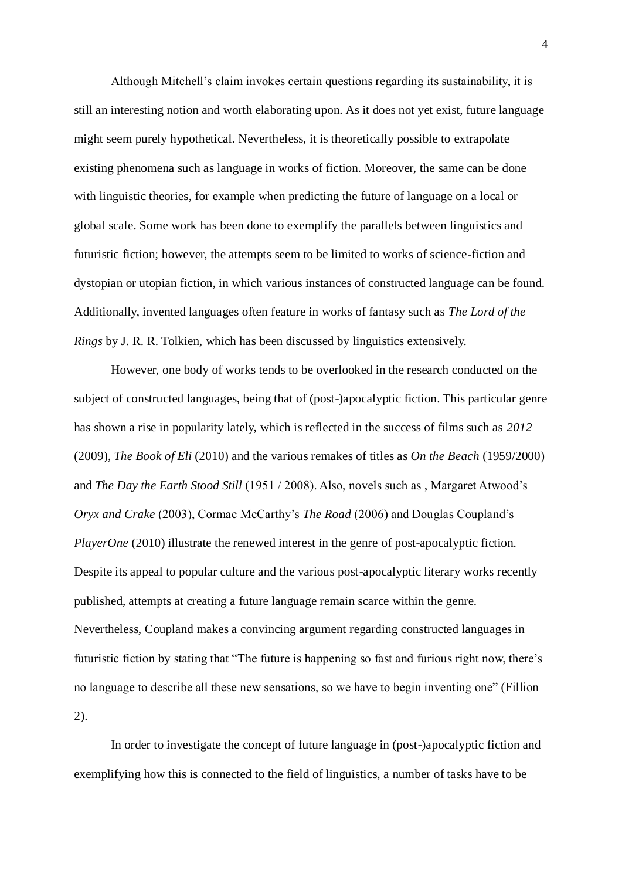Although Mitchell's claim invokes certain questions regarding its sustainability, it is still an interesting notion and worth elaborating upon. As it does not yet exist, future language might seem purely hypothetical. Nevertheless, it is theoretically possible to extrapolate existing phenomena such as language in works of fiction. Moreover, the same can be done with linguistic theories, for example when predicting the future of language on a local or global scale. Some work has been done to exemplify the parallels between linguistics and futuristic fiction; however, the attempts seem to be limited to works of science-fiction and dystopian or utopian fiction, in which various instances of constructed language can be found. Additionally, invented languages often feature in works of fantasy such as *The Lord of the Rings* by J. R. R. Tolkien, which has been discussed by linguistics extensively.

However, one body of works tends to be overlooked in the research conducted on the subject of constructed languages, being that of (post-)apocalyptic fiction. This particular genre has shown a rise in popularity lately, which is reflected in the success of films such as *2012*  (2009), *The Book of Eli* (2010) and the various remakes of titles as *On the Beach* (1959/2000) and *The Day the Earth Stood Still* (1951 / 2008). Also, novels such as , Margaret Atwood's *Oryx and Crake* (2003), Cormac McCarthy's *The Road* (2006) and Douglas Coupland's *PlayerOne* (2010) illustrate the renewed interest in the genre of post-apocalyptic fiction. Despite its appeal to popular culture and the various post-apocalyptic literary works recently published, attempts at creating a future language remain scarce within the genre. Nevertheless, Coupland makes a convincing argument regarding constructed languages in futuristic fiction by stating that "The future is happening so fast and furious right now, there's no language to describe all these new sensations, so we have to begin inventing one" (Fillion 2).

In order to investigate the concept of future language in (post-)apocalyptic fiction and exemplifying how this is connected to the field of linguistics, a number of tasks have to be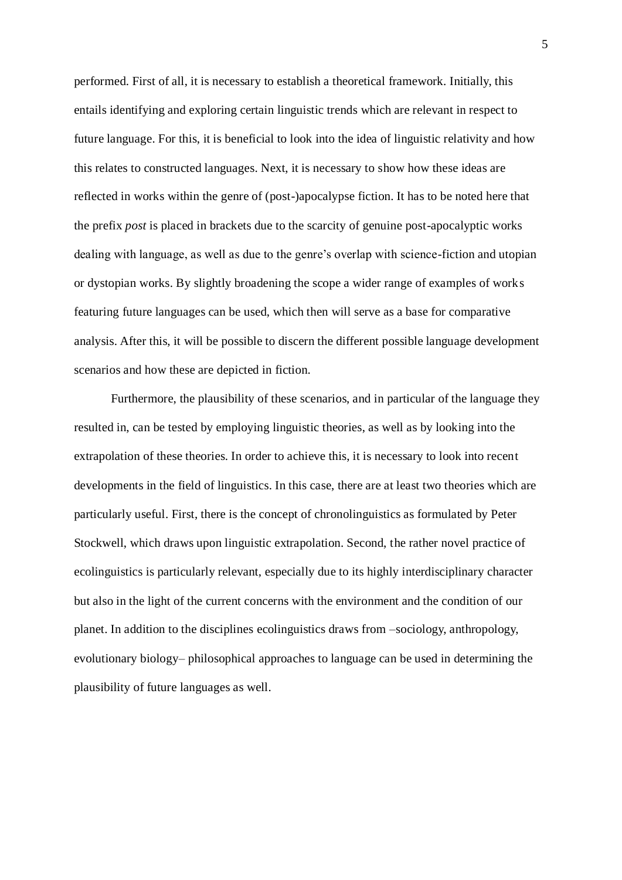performed. First of all, it is necessary to establish a theoretical framework. Initially, this entails identifying and exploring certain linguistic trends which are relevant in respect to future language. For this, it is beneficial to look into the idea of linguistic relativity and how this relates to constructed languages. Next, it is necessary to show how these ideas are reflected in works within the genre of (post-)apocalypse fiction. It has to be noted here that the prefix *post* is placed in brackets due to the scarcity of genuine post-apocalyptic works dealing with language, as well as due to the genre's overlap with science-fiction and utopian or dystopian works. By slightly broadening the scope a wider range of examples of works featuring future languages can be used, which then will serve as a base for comparative analysis. After this, it will be possible to discern the different possible language development scenarios and how these are depicted in fiction.

Furthermore, the plausibility of these scenarios, and in particular of the language they resulted in, can be tested by employing linguistic theories, as well as by looking into the extrapolation of these theories. In order to achieve this, it is necessary to look into recent developments in the field of linguistics. In this case, there are at least two theories which are particularly useful. First, there is the concept of chronolinguistics as formulated by Peter Stockwell, which draws upon linguistic extrapolation. Second, the rather novel practice of ecolinguistics is particularly relevant, especially due to its highly interdisciplinary character but also in the light of the current concerns with the environment and the condition of our planet. In addition to the disciplines ecolinguistics draws from –sociology, anthropology, evolutionary biology– philosophical approaches to language can be used in determining the plausibility of future languages as well.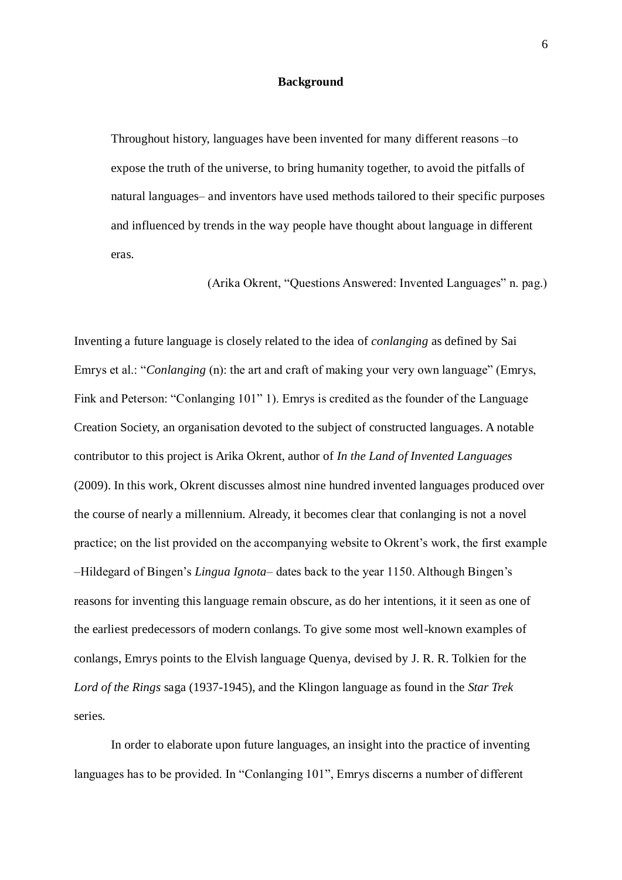## **Background**

Throughout history, languages have been invented for many different reasons –to expose the truth of the universe, to bring humanity together, to avoid the pitfalls of natural languages– and inventors have used methods tailored to their specific purposes and influenced by trends in the way people have thought about language in different eras.

(Arika Okrent, "Questions Answered: Invented Languages" n. pag.)

Inventing a future language is closely related to the idea of *conlanging* as defined by Sai Emrys et al.: "*Conlanging* (n): the art and craft of making your very own language" (Emrys, Fink and Peterson: "Conlanging 101" 1). Emrys is credited as the founder of the Language Creation Society, an organisation devoted to the subject of constructed languages. A notable contributor to this project is Arika Okrent, author of *In the Land of Invented Languages*  (2009). In this work, Okrent discusses almost nine hundred invented languages produced over the course of nearly a millennium. Already, it becomes clear that conlanging is not a novel practice; on the list provided on the accompanying website to Okrent's work, the first example –Hildegard of Bingen's *Lingua Ignota*– dates back to the year 1150. Although Bingen's reasons for inventing this language remain obscure, as do her intentions, it it seen as one of the earliest predecessors of modern conlangs. To give some most well-known examples of conlangs, Emrys points to the Elvish language Quenya, devised by J. R. R. Tolkien for the *Lord of the Rings* saga (1937-1945), and the Klingon language as found in the *Star Trek*  series.

In order to elaborate upon future languages, an insight into the practice of inventing languages has to be provided. In "Conlanging 101", Emrys discerns a number of different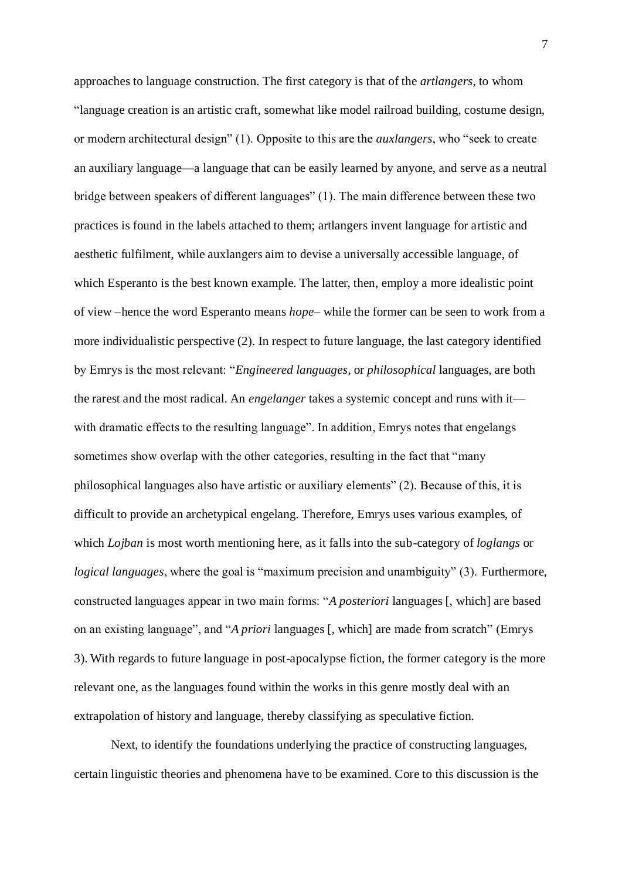approaches to language construction. The first category is that of the *artlangers*, to whom ―language creation is an artistic craft, somewhat like model railroad building, costume design, or modern architectural design" (1). Opposite to this are the *auxlangers*, who "seek to create an auxiliary language—a language that can be easily learned by anyone, and serve as a neutral bridge between speakers of different languages" (1). The main difference between these two practices is found in the labels attached to them; artlangers invent language for artistic and aesthetic fulfilment, while auxlangers aim to devise a universally accessible language, of which Esperanto is the best known example. The latter, then, employ a more idealistic point of view –hence the word Esperanto means *hope*– while the former can be seen to work from a more individualistic perspective (2). In respect to future language, the last category identified by Emrys is the most relevant: ―*Engineered languages*, or *philosophical* languages, are both the rarest and the most radical. An *engelanger* takes a systemic concept and runs with it with dramatic effects to the resulting language". In addition, Emrys notes that engelangs sometimes show overlap with the other categories, resulting in the fact that "many philosophical languages also have artistic or auxiliary elements" (2). Because of this, it is difficult to provide an archetypical engelang. Therefore, Emrys uses various examples, of which *Lojban* is most worth mentioning here, as it falls into the sub-category of *loglangs* or *logical languages*, where the goal is "maximum precision and unambiguity" (3). Furthermore, constructed languages appear in two main forms: "A *posteriori* languages [, which] are based on an existing language", and "*A priori* languages [, which] are made from scratch" (Emrys 3). With regards to future language in post-apocalypse fiction, the former category is the more relevant one, as the languages found within the works in this genre mostly deal with an extrapolation of history and language, thereby classifying as speculative fiction.

Next, to identify the foundations underlying the practice of constructing languages, certain linguistic theories and phenomena have to be examined. Core to this discussion is the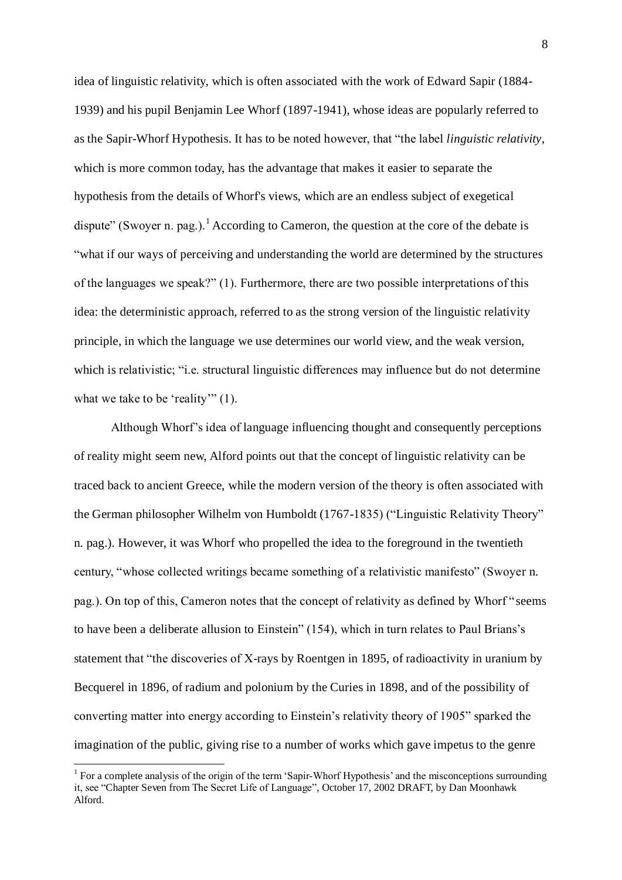idea of linguistic relativity, which is often associated with the work of Edward Sapir (1884- 1939) and his pupil Benjamin Lee Whorf (1897-1941), whose ideas are popularly referred to as the Sapir-Whorf Hypothesis. It has to be noted however, that "the label *linguistic relativity*, which is more common today, has the advantage that makes it easier to separate the hypothesis from the details of Whorf's views, which are an endless subject of exegetical dispute" (Swoyer n. pag.).<sup>1</sup> According to Cameron, the question at the core of the debate is ―what if our ways of perceiving and understanding the world are determined by the structures of the languages we speak?"  $(1)$ . Furthermore, there are two possible interpretations of this idea: the deterministic approach, referred to as the strong version of the linguistic relativity principle, in which the language we use determines our world view, and the weak version, which is relativistic; "i.e. structural linguistic differences may influence but do not determine what we take to be 'reality'"  $(1)$ .

Although Whorf's idea of language influencing thought and consequently perceptions of reality might seem new, Alford points out that the concept of linguistic relativity can be traced back to ancient Greece, while the modern version of the theory is often associated with the German philosopher Wilhelm von Humboldt (1767-1835) ("Linguistic Relativity Theory" n. pag.). However, it was Whorf who propelled the idea to the foreground in the twentieth century, "whose collected writings became something of a relativistic manifesto" (Swoyer n. pag.). On top of this, Cameron notes that the concept of relativity as defined by Whorf "seems" to have been a deliberate allusion to Einstein" (154), which in turn relates to Paul Brians's statement that "the discoveries of X-rays by Roentgen in 1895, of radioactivity in uranium by Becquerel in 1896, of radium and polonium by the Curies in 1898, and of the possibility of converting matter into energy according to Einstein's relativity theory of 1905" sparked the imagination of the public, giving rise to a number of works which gave impetus to the genre

<sup>&</sup>lt;sup>1</sup> For a complete analysis of the origin of the term 'Sapir-Whorf Hypothesis' and the misconceptions surrounding it, see "Chapter Seven from The Secret Life of Language", October 17, 2002 DRAFT, by Dan Moonhawk Alford.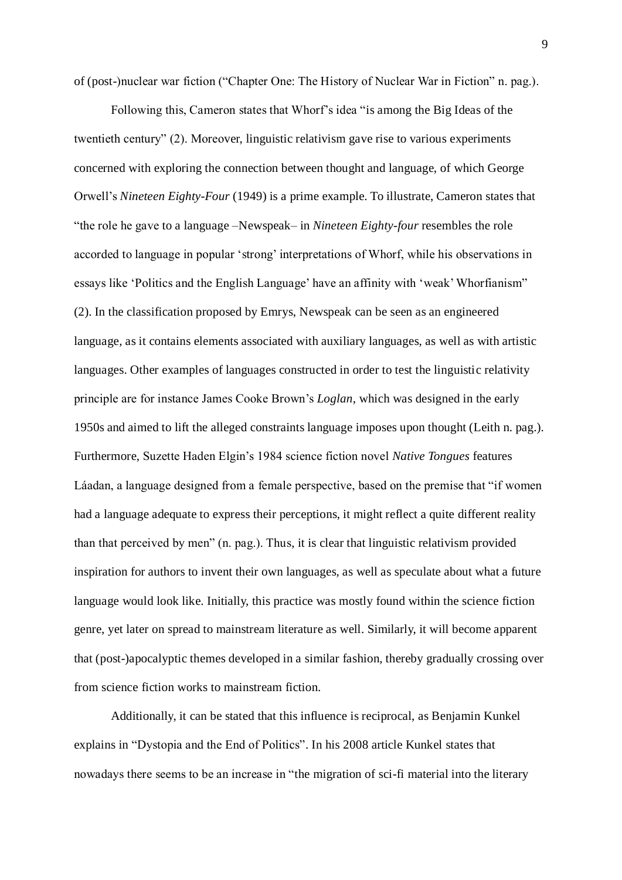of (post-)nuclear war fiction ("Chapter One: The History of Nuclear War in Fiction" n. pag.).

Following this, Cameron states that Whorf's idea "is among the Big Ideas of the twentieth century" (2). Moreover, linguistic relativism gave rise to various experiments concerned with exploring the connection between thought and language, of which George Orwell's *Nineteen Eighty-Four* (1949) is a prime example. To illustrate, Cameron states that ―the role he gave to a language –Newspeak– in *Nineteen Eighty-four* resembles the role accorded to language in popular 'strong' interpretations of Whorf, while his observations in essays like 'Politics and the English Language' have an affinity with 'weak' Whorfianism'' (2). In the classification proposed by Emrys, Newspeak can be seen as an engineered language, as it contains elements associated with auxiliary languages, as well as with artistic languages. Other examples of languages constructed in order to test the linguistic relativity principle are for instance James Cooke Brown's *Loglan*, which was designed in the early 1950s and aimed to lift the alleged constraints language imposes upon thought (Leith n. pag.). Furthermore, Suzette Haden Elgin's 1984 science fiction novel *Native Tongues* features Láadan, a language designed from a female perspective, based on the premise that "if women had a language adequate to express their perceptions, it might reflect a quite different reality than that perceived by men" (n. pag.). Thus, it is clear that linguistic relativism provided inspiration for authors to invent their own languages, as well as speculate about what a future language would look like. Initially, this practice was mostly found within the science fiction genre, yet later on spread to mainstream literature as well. Similarly, it will become apparent that (post-)apocalyptic themes developed in a similar fashion, thereby gradually crossing over from science fiction works to mainstream fiction.

Additionally, it can be stated that this influence is reciprocal, as Benjamin Kunkel explains in "Dystopia and the End of Politics". In his 2008 article Kunkel states that nowadays there seems to be an increase in "the migration of sci-fi material into the literary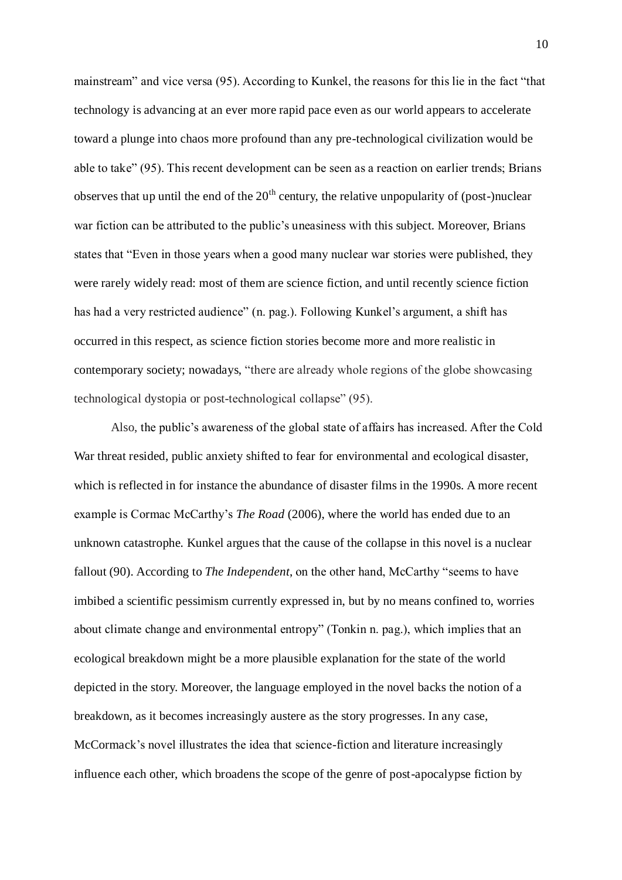mainstream" and vice versa (95). According to Kunkel, the reasons for this lie in the fact "that technology is advancing at an ever more rapid pace even as our world appears to accelerate toward a plunge into chaos more profound than any pre-technological civilization would be able to take" (95). This recent development can be seen as a reaction on earlier trends; Brians observes that up until the end of the  $20<sup>th</sup>$  century, the relative unpopularity of (post-)nuclear war fiction can be attributed to the public's uneasiness with this subject. Moreover, Brians states that "Even in those years when a good many nuclear war stories were published, they were rarely widely read: most of them are science fiction, and until recently science fiction has had a very restricted audience" (n. pag.). Following Kunkel's argument, a shift has occurred in this respect, as science fiction stories become more and more realistic in contemporary society; nowadays, "there are already whole regions of the globe showcasing technological dystopia or post-technological collapse" (95).

Also, the public's awareness of the global state of affairs has increased. After the Cold War threat resided, public anxiety shifted to fear for environmental and ecological disaster, which is reflected in for instance the abundance of disaster films in the 1990s. A more recent example is Cormac McCarthy's *The Road* (2006), where the world has ended due to an unknown catastrophe. Kunkel argues that the cause of the collapse in this novel is a nuclear fallout (90). According to *The Independent*, on the other hand, McCarthy "seems to have imbibed a scientific pessimism currently expressed in, but by no means confined to, worries about climate change and environmental entropy" (Tonkin n. pag.), which implies that an ecological breakdown might be a more plausible explanation for the state of the world depicted in the story. Moreover, the language employed in the novel backs the notion of a breakdown, as it becomes increasingly austere as the story progresses. In any case, McCormack's novel illustrates the idea that science-fiction and literature increasingly influence each other, which broadens the scope of the genre of post-apocalypse fiction by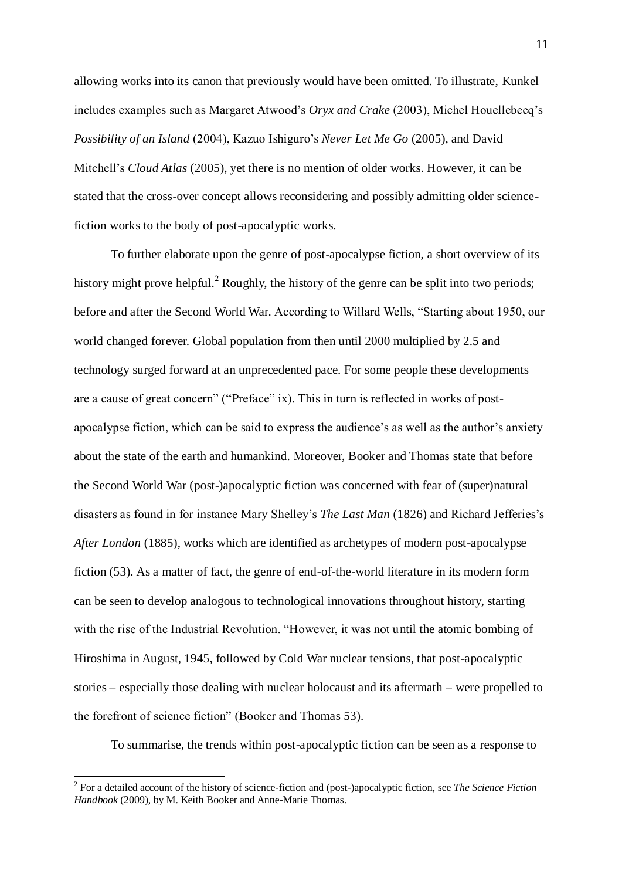allowing works into its canon that previously would have been omitted. To illustrate, Kunkel includes examples such as Margaret Atwood's *Oryx and Crake* (2003), Michel Houellebecq's *Possibility of an Island* (2004), Kazuo Ishiguro's *Never Let Me Go* (2005), and David Mitchell's *Cloud Atlas* (2005), yet there is no mention of older works. However, it can be stated that the cross-over concept allows reconsidering and possibly admitting older sciencefiction works to the body of post-apocalyptic works.

To further elaborate upon the genre of post-apocalypse fiction, a short overview of its history might prove helpful.<sup>2</sup> Roughly, the history of the genre can be split into two periods; before and after the Second World War. According to Willard Wells, "Starting about 1950, our world changed forever. Global population from then until 2000 multiplied by 2.5 and technology surged forward at an unprecedented pace. For some people these developments are a cause of great concern" ("Preface" ix). This in turn is reflected in works of postapocalypse fiction, which can be said to express the audience's as well as the author's anxiety about the state of the earth and humankind. Moreover, Booker and Thomas state that before the Second World War (post-)apocalyptic fiction was concerned with fear of (super)natural disasters as found in for instance Mary Shelley's *The Last Man* (1826) and Richard Jefferies's *After London* (1885), works which are identified as archetypes of modern post-apocalypse fiction (53). As a matter of fact, the genre of end-of-the-world literature in its modern form can be seen to develop analogous to technological innovations throughout history, starting with the rise of the Industrial Revolution. "However, it was not until the atomic bombing of Hiroshima in August, 1945, followed by Cold War nuclear tensions, that post-apocalyptic stories – especially those dealing with nuclear holocaust and its aftermath – were propelled to the forefront of science fiction" (Booker and Thomas 53).

To summarise, the trends within post-apocalyptic fiction can be seen as a response to

 $\overline{a}$ 

<sup>2</sup> For a detailed account of the history of science-fiction and (post-)apocalyptic fiction, see *The Science Fiction Handbook* (2009), by M. Keith Booker and Anne-Marie Thomas.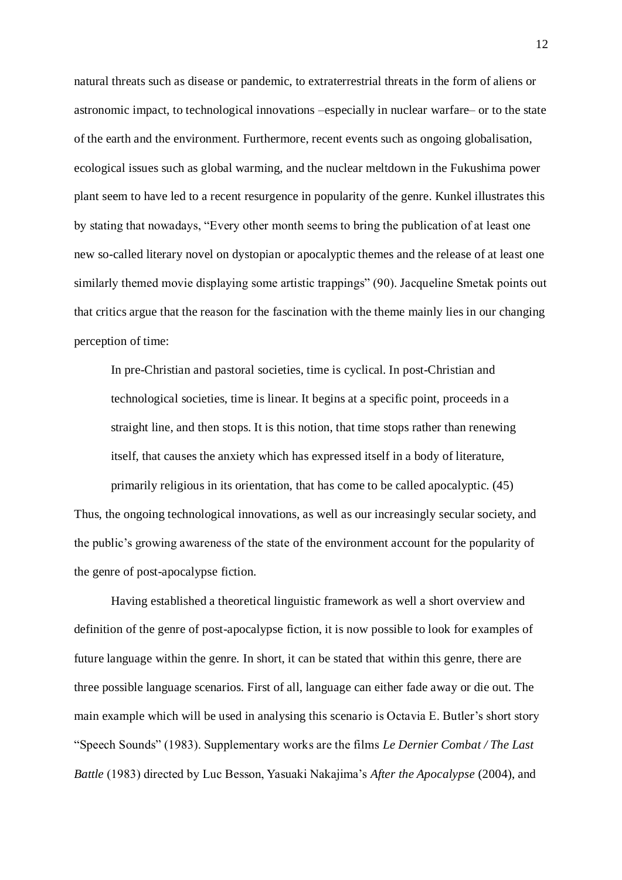natural threats such as disease or pandemic, to extraterrestrial threats in the form of aliens or astronomic impact, to technological innovations –especially in nuclear warfare– or to the state of the earth and the environment. Furthermore, recent events such as ongoing globalisation, ecological issues such as global warming, and the nuclear meltdown in the Fukushima power plant seem to have led to a recent resurgence in popularity of the genre. Kunkel illustrates this by stating that nowadays, "Every other month seems to bring the publication of at least one new so-called literary novel on dystopian or apocalyptic themes and the release of at least one similarly themed movie displaying some artistic trappings" (90). Jacqueline Smetak points out that critics argue that the reason for the fascination with the theme mainly lies in our changing perception of time:

In pre-Christian and pastoral societies, time is cyclical. In post-Christian and technological societies, time is linear. It begins at a specific point, proceeds in a straight line, and then stops. It is this notion, that time stops rather than renewing itself, that causes the anxiety which has expressed itself in a body of literature,

primarily religious in its orientation, that has come to be called apocalyptic. (45) Thus, the ongoing technological innovations, as well as our increasingly secular society, and the public's growing awareness of the state of the environment account for the popularity of the genre of post-apocalypse fiction.

Having established a theoretical linguistic framework as well a short overview and definition of the genre of post-apocalypse fiction, it is now possible to look for examples of future language within the genre. In short, it can be stated that within this genre, there are three possible language scenarios. First of all, language can either fade away or die out. The main example which will be used in analysing this scenario is Octavia E. Butler's short story ―Speech Sounds‖ (1983). Supplementary works are the films *Le Dernier Combat / The Last Battle* (1983) directed by Luc Besson, Yasuaki Nakajima's *After the Apocalypse* (2004), and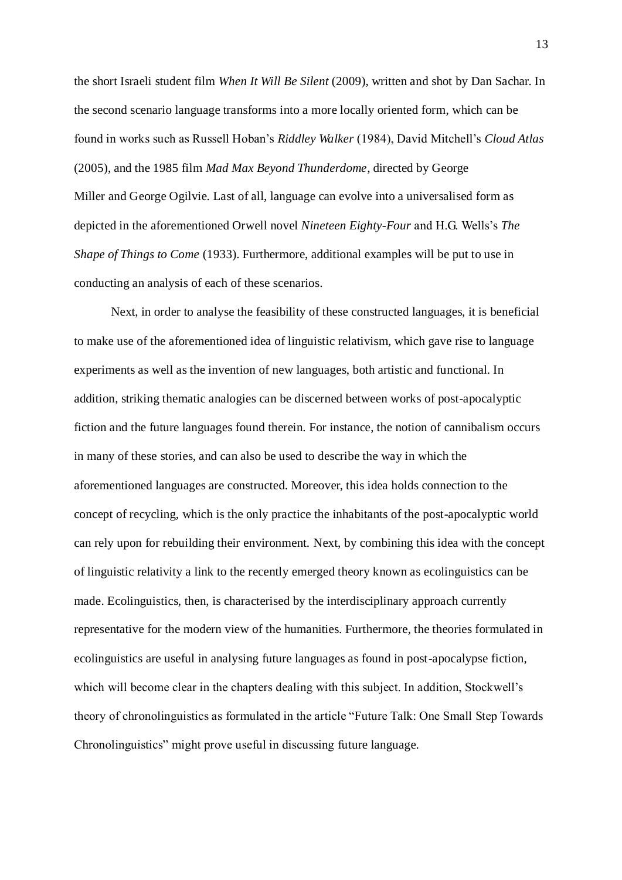the short Israeli student film *When It Will Be Silent* (2009), written and shot by Dan Sachar. In the second scenario language transforms into a more locally oriented form, which can be found in works such as Russell Hoban's *Riddley Walker* (1984), David Mitchell's *Cloud Atlas*  (2005), and the 1985 film *Mad Max Beyond Thunderdome*, directed by George Miller and George Ogilvie. Last of all, language can evolve into a universalised form as depicted in the aforementioned Orwell novel *Nineteen Eighty-Four* and H.G. Wells's *The Shape of Things to Come* (1933). Furthermore, additional examples will be put to use in conducting an analysis of each of these scenarios.

Next, in order to analyse the feasibility of these constructed languages, it is beneficial to make use of the aforementioned idea of linguistic relativism, which gave rise to language experiments as well as the invention of new languages, both artistic and functional. In addition, striking thematic analogies can be discerned between works of post-apocalyptic fiction and the future languages found therein. For instance, the notion of cannibalism occurs in many of these stories, and can also be used to describe the way in which the aforementioned languages are constructed. Moreover, this idea holds connection to the concept of recycling, which is the only practice the inhabitants of the post-apocalyptic world can rely upon for rebuilding their environment. Next, by combining this idea with the concept of linguistic relativity a link to the recently emerged theory known as ecolinguistics can be made. Ecolinguistics, then, is characterised by the interdisciplinary approach currently representative for the modern view of the humanities. Furthermore, the theories formulated in ecolinguistics are useful in analysing future languages as found in post-apocalypse fiction, which will become clear in the chapters dealing with this subject. In addition, Stockwell's theory of chronolinguistics as formulated in the article "Future Talk: One Small Step Towards Chronolinguistics" might prove useful in discussing future language.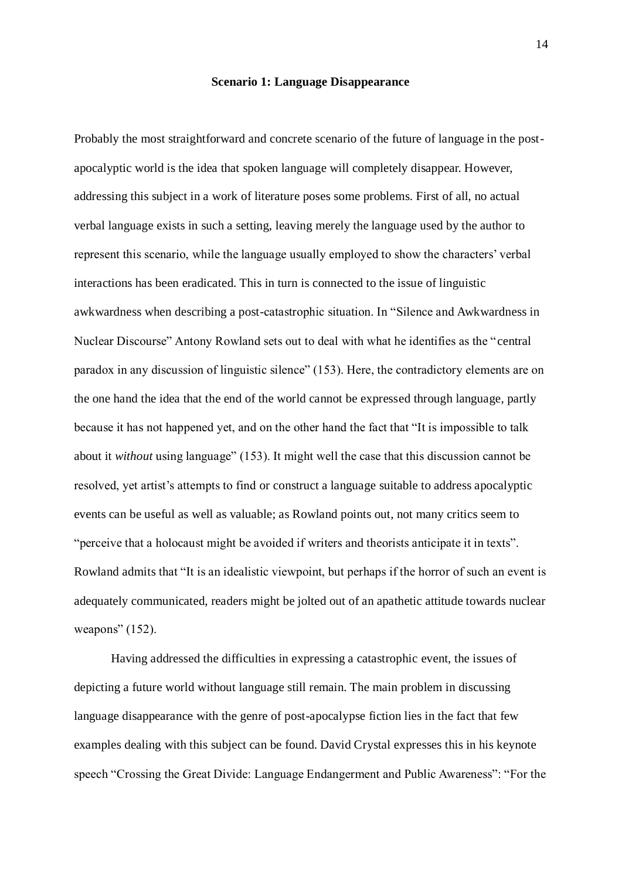#### **Scenario 1: Language Disappearance**

Probably the most straightforward and concrete scenario of the future of language in the postapocalyptic world is the idea that spoken language will completely disappear. However, addressing this subject in a work of literature poses some problems. First of all, no actual verbal language exists in such a setting, leaving merely the language used by the author to represent this scenario, while the language usually employed to show the characters' verbal interactions has been eradicated. This in turn is connected to the issue of linguistic awkwardness when describing a post-catastrophic situation. In "Silence and Awkwardness in Nuclear Discourse" Antony Rowland sets out to deal with what he identifies as the "central paradox in any discussion of linguistic silence" (153). Here, the contradictory elements are on the one hand the idea that the end of the world cannot be expressed through language, partly because it has not happened yet, and on the other hand the fact that "It is impossible to talk about it *without* using language" (153). It might well the case that this discussion cannot be resolved, yet artist's attempts to find or construct a language suitable to address apocalyptic events can be useful as well as valuable; as Rowland points out, not many critics seem to "perceive that a holocaust might be avoided if writers and theorists anticipate it in texts". Rowland admits that "It is an idealistic viewpoint, but perhaps if the horror of such an event is adequately communicated, readers might be jolted out of an apathetic attitude towards nuclear weapons"  $(152)$ .

Having addressed the difficulties in expressing a catastrophic event, the issues of depicting a future world without language still remain. The main problem in discussing language disappearance with the genre of post-apocalypse fiction lies in the fact that few examples dealing with this subject can be found. David Crystal expresses this in his keynote speech "Crossing the Great Divide: Language Endangerment and Public Awareness": "For the

14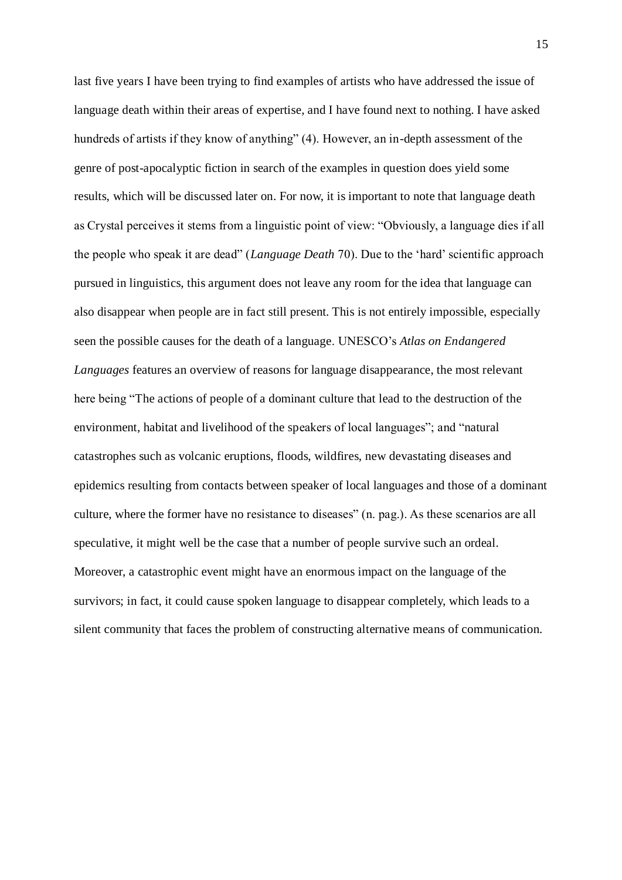last five years I have been trying to find examples of artists who have addressed the issue of language death within their areas of expertise, and I have found next to nothing. I have asked hundreds of artists if they know of anything" (4). However, an in-depth assessment of the genre of post-apocalyptic fiction in search of the examples in question does yield some results, which will be discussed later on. For now, it is important to note that language death as Crystal perceives it stems from a linguistic point of view: "Obviously, a language dies if all the people who speak it are dead‖ (*Language Death* 70). Due to the ‗hard' scientific approach pursued in linguistics, this argument does not leave any room for the idea that language can also disappear when people are in fact still present. This is not entirely impossible, especially seen the possible causes for the death of a language. UNESCO's *Atlas on Endangered Languages* features an overview of reasons for language disappearance, the most relevant here being "The actions of people of a dominant culture that lead to the destruction of the environment, habitat and livelihood of the speakers of local languages"; and "natural catastrophes such as volcanic eruptions, floods, wildfires, new devastating diseases and epidemics resulting from contacts between speaker of local languages and those of a dominant culture, where the former have no resistance to diseases" (n. pag.). As these scenarios are all speculative, it might well be the case that a number of people survive such an ordeal. Moreover, a catastrophic event might have an enormous impact on the language of the survivors; in fact, it could cause spoken language to disappear completely, which leads to a silent community that faces the problem of constructing alternative means of communication.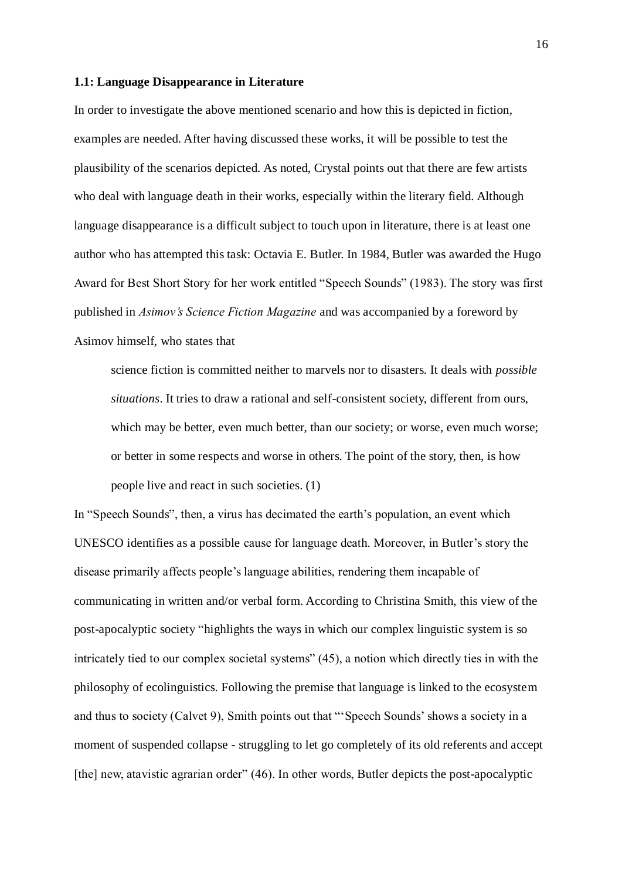#### **1.1: Language Disappearance in Literature**

In order to investigate the above mentioned scenario and how this is depicted in fiction, examples are needed. After having discussed these works, it will be possible to test the plausibility of the scenarios depicted. As noted, Crystal points out that there are few artists who deal with language death in their works, especially within the literary field. Although language disappearance is a difficult subject to touch upon in literature, there is at least one author who has attempted this task: Octavia E. Butler. In 1984, Butler was awarded the Hugo Award for Best Short Story for her work entitled "Speech Sounds" (1983). The story was first published in *Asimov's Science Fiction Magazine* and was accompanied by a foreword by Asimov himself, who states that

science fiction is committed neither to marvels nor to disasters. It deals with *possible situations*. It tries to draw a rational and self-consistent society, different from ours, which may be better, even much better, than our society; or worse, even much worse; or better in some respects and worse in others. The point of the story, then, is how people live and react in such societies. (1)

In "Speech Sounds", then, a virus has decimated the earth's population, an event which UNESCO identifies as a possible cause for language death. Moreover, in Butler's story the disease primarily affects people's language abilities, rendering them incapable of communicating in written and/or verbal form. According to Christina Smith, this view of the post-apocalyptic society "highlights the ways in which our complex linguistic system is so intricately tied to our complex societal systems"  $(45)$ , a notion which directly ties in with the philosophy of ecolinguistics. Following the premise that language is linked to the ecosystem and thus to society (Calvet 9), Smith points out that "Speech Sounds' shows a society in a moment of suspended collapse - struggling to let go completely of its old referents and accept [the] new, atavistic agrarian order"  $(46)$ . In other words, Butler depicts the post-apocalyptic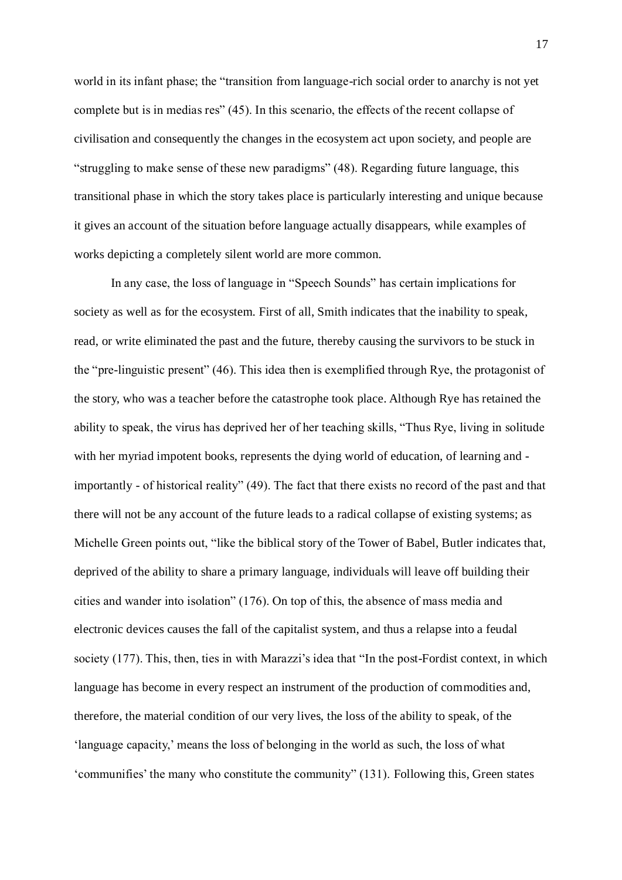world in its infant phase; the "transition from language-rich social order to anarchy is not yet complete but is in medias res" (45). In this scenario, the effects of the recent collapse of civilisation and consequently the changes in the ecosystem act upon society, and people are ―struggling to make sense of these new paradigms‖ (48). Regarding future language, this transitional phase in which the story takes place is particularly interesting and unique because it gives an account of the situation before language actually disappears, while examples of works depicting a completely silent world are more common.

In any case, the loss of language in "Speech Sounds" has certain implications for society as well as for the ecosystem. First of all, Smith indicates that the inability to speak, read, or write eliminated the past and the future, thereby causing the survivors to be stuck in the "pre-linguistic present"  $(46)$ . This idea then is exemplified through Rye, the protagonist of the story, who was a teacher before the catastrophe took place. Although Rye has retained the ability to speak, the virus has deprived her of her teaching skills, "Thus Rye, living in solitude with her myriad impotent books, represents the dying world of education, of learning and importantly - of historical reality" (49). The fact that there exists no record of the past and that there will not be any account of the future leads to a radical collapse of existing systems; as Michelle Green points out, "like the biblical story of the Tower of Babel, Butler indicates that, deprived of the ability to share a primary language, individuals will leave off building their cities and wander into isolation"  $(176)$ . On top of this, the absence of mass media and electronic devices causes the fall of the capitalist system, and thus a relapse into a feudal society  $(177)$ . This, then, ties in with Marazzi's idea that "In the post-Fordist context, in which language has become in every respect an instrument of the production of commodities and, therefore, the material condition of our very lives, the loss of the ability to speak, of the ‗language capacity,' means the loss of belonging in the world as such, the loss of what 'communifies' the many who constitute the community" (131). Following this, Green states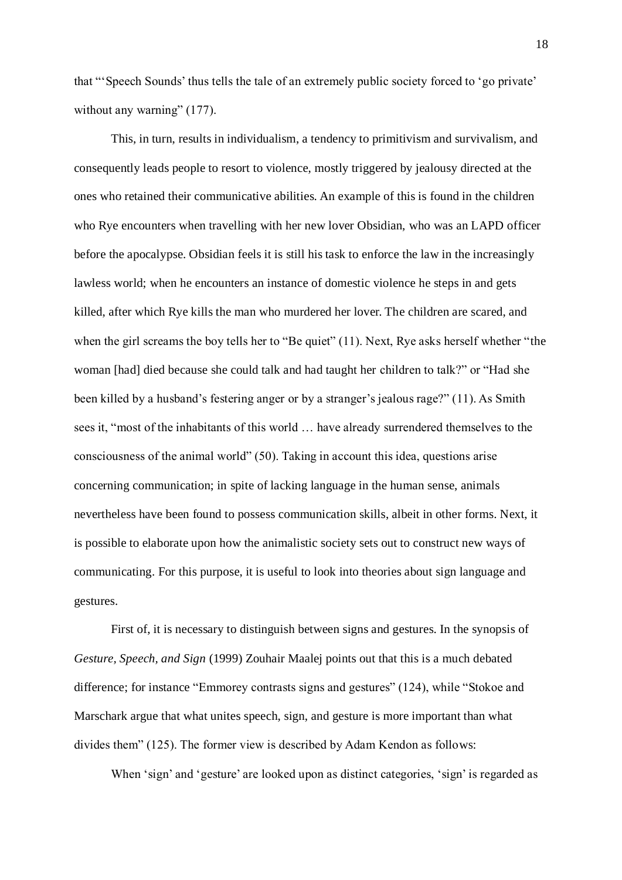that "Speech Sounds' thus tells the tale of an extremely public society forced to 'go private' without any warning"  $(177)$ .

This, in turn, results in individualism, a tendency to primitivism and survivalism, and consequently leads people to resort to violence, mostly triggered by jealousy directed at the ones who retained their communicative abilities. An example of this is found in the children who Rye encounters when travelling with her new lover Obsidian, who was an LAPD officer before the apocalypse. Obsidian feels it is still his task to enforce the law in the increasingly lawless world; when he encounters an instance of domestic violence he steps in and gets killed, after which Rye kills the man who murdered her lover. The children are scared, and when the girl screams the boy tells her to "Be quiet"  $(11)$ . Next, Rye asks herself whether "the woman [had] died because she could talk and had taught her children to talk?" or "Had she been killed by a husband's festering anger or by a stranger's jealous rage?" (11). As Smith sees it, "most of the inhabitants of this world ... have already surrendered themselves to the consciousness of the animal world" (50). Taking in account this idea, questions arise concerning communication; in spite of lacking language in the human sense, animals nevertheless have been found to possess communication skills, albeit in other forms. Next, it is possible to elaborate upon how the animalistic society sets out to construct new ways of communicating. For this purpose, it is useful to look into theories about sign language and gestures.

First of, it is necessary to distinguish between signs and gestures. In the synopsis of *Gesture, Speech, and Sign* (1999) Zouhair Maalej points out that this is a much debated difference; for instance "Emmorey contrasts signs and gestures" (124), while "Stokoe and Marschark argue that what unites speech, sign, and gesture is more important than what divides them" (125). The former view is described by Adam Kendon as follows:

When 'sign' and 'gesture' are looked upon as distinct categories, 'sign' is regarded as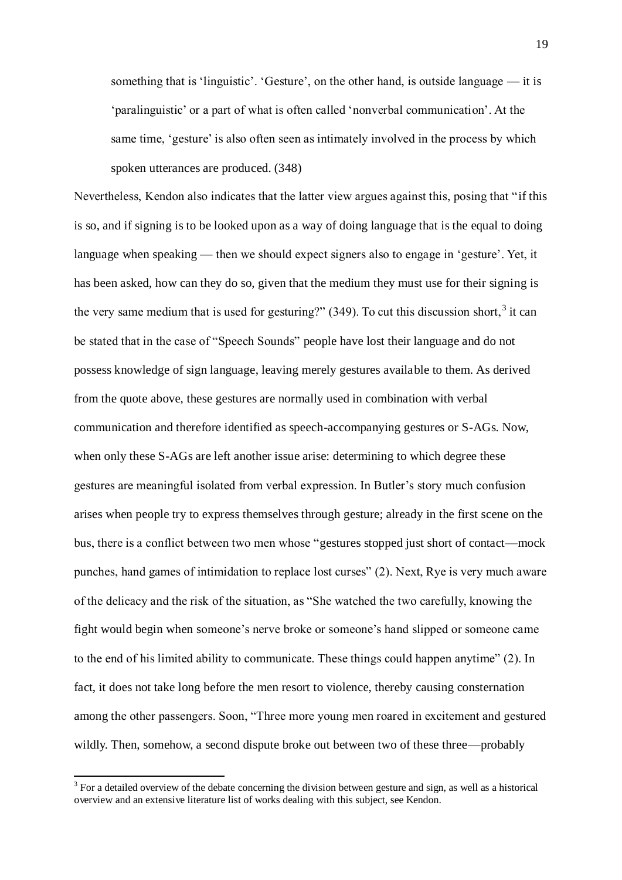something that is 'linguistic'. 'Gesture', on the other hand, is outside language  $-$  it is ‗paralinguistic' or a part of what is often called ‗nonverbal communication'. At the same time, 'gesture' is also often seen as intimately involved in the process by which spoken utterances are produced. (348)

Nevertheless, Kendon also indicates that the latter view argues against this, posing that "if this is so, and if signing is to be looked upon as a way of doing language that is the equal to doing language when speaking — then we should expect signers also to engage in 'gesture'. Yet, it has been asked, how can they do so, given that the medium they must use for their signing is the very same medium that is used for gesturing?"  $(349)$ . To cut this discussion short,<sup>3</sup> it can be stated that in the case of "Speech Sounds" people have lost their language and do not possess knowledge of sign language, leaving merely gestures available to them. As derived from the quote above, these gestures are normally used in combination with verbal communication and therefore identified as speech-accompanying gestures or S-AGs. Now, when only these S-AGs are left another issue arise: determining to which degree these gestures are meaningful isolated from verbal expression. In Butler's story much confusion arises when people try to express themselves through gesture; already in the first scene on the bus, there is a conflict between two men whose "gestures stopped just short of contact—mock punches, hand games of intimidation to replace lost curses‖ (2). Next, Rye is very much aware of the delicacy and the risk of the situation, as "She watched the two carefully, knowing the fight would begin when someone's nerve broke or someone's hand slipped or someone came to the end of his limited ability to communicate. These things could happen anytime" (2). In fact, it does not take long before the men resort to violence, thereby causing consternation among the other passengers. Soon, "Three more young men roared in excitement and gestured wildly. Then, somehow, a second dispute broke out between two of these three—probably

 $\overline{a}$ 

 $3$  For a detailed overview of the debate concerning the division between gesture and sign, as well as a historical overview and an extensive literature list of works dealing with this subject, see Kendon.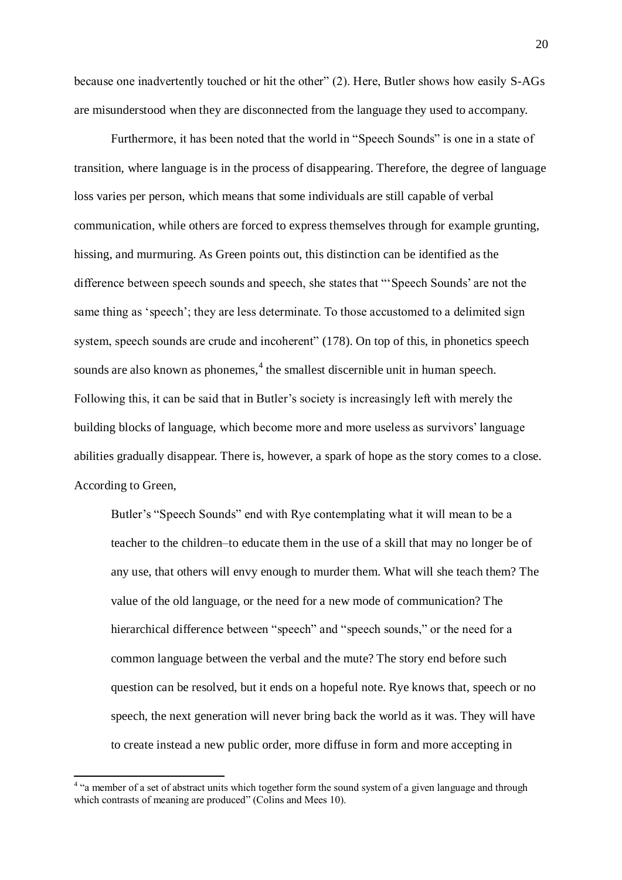because one inadvertently touched or hit the other" (2). Here, Butler shows how easily S-AGs are misunderstood when they are disconnected from the language they used to accompany.

Furthermore, it has been noted that the world in "Speech Sounds" is one in a state of transition, where language is in the process of disappearing. Therefore, the degree of language loss varies per person, which means that some individuals are still capable of verbal communication, while others are forced to express themselves through for example grunting, hissing, and murmuring. As Green points out, this distinction can be identified as the difference between speech sounds and speech, she states that "Speech Sounds' are not the same thing as 'speech'; they are less determinate. To those accustomed to a delimited sign system, speech sounds are crude and incoherent" (178). On top of this, in phonetics speech sounds are also known as phonemes, $4$  the smallest discernible unit in human speech. Following this, it can be said that in Butler's society is increasingly left with merely the building blocks of language, which become more and more useless as survivors' language abilities gradually disappear. There is, however, a spark of hope as the story comes to a close. According to Green,

Butler's "Speech Sounds" end with Rye contemplating what it will mean to be a teacher to the children–to educate them in the use of a skill that may no longer be of any use, that others will envy enough to murder them. What will she teach them? The value of the old language, or the need for a new mode of communication? The hierarchical difference between "speech" and "speech sounds," or the need for a common language between the verbal and the mute? The story end before such question can be resolved, but it ends on a hopeful note. Rye knows that, speech or no speech, the next generation will never bring back the world as it was. They will have to create instead a new public order, more diffuse in form and more accepting in

<sup>&</sup>lt;sup>4</sup> "a member of a set of abstract units which together form the sound system of a given language and through which contrasts of meaning are produced" (Colins and Mees 10).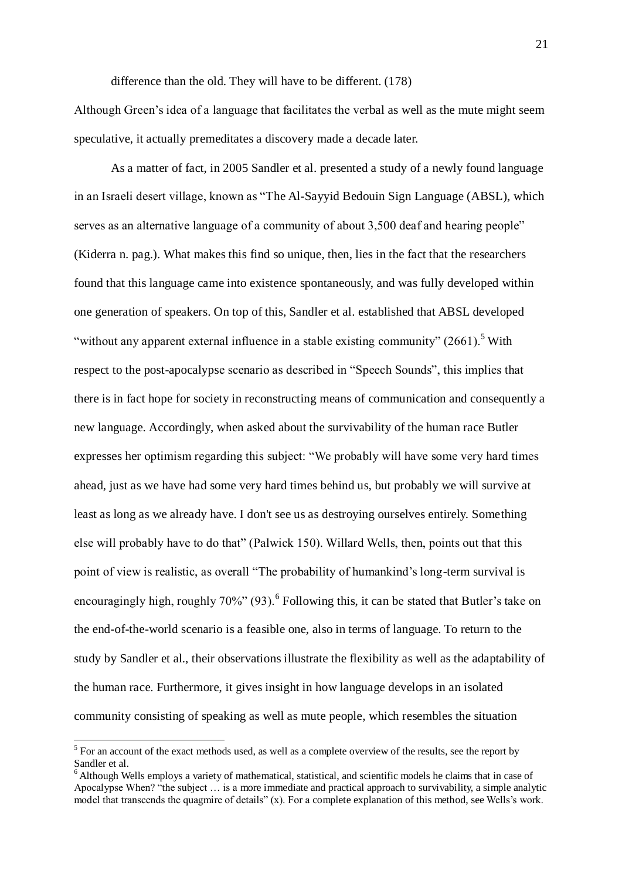difference than the old. They will have to be different. (178)

Although Green's idea of a language that facilitates the verbal as well as the mute might seem speculative, it actually premeditates a discovery made a decade later.

As a matter of fact, in 2005 Sandler et al. presented a study of a newly found language in an Israeli desert village, known as "The Al-Sayyid Bedouin Sign Language (ABSL), which serves as an alternative language of a community of about 3,500 deaf and hearing people" (Kiderra n. pag.). What makes this find so unique, then, lies in the fact that the researchers found that this language came into existence spontaneously, and was fully developed within one generation of speakers. On top of this, Sandler et al. established that ABSL developed "without any apparent external influence in a stable existing community"  $(2661)$ .<sup>5</sup> With respect to the post-apocalypse scenario as described in "Speech Sounds", this implies that there is in fact hope for society in reconstructing means of communication and consequently a new language. Accordingly, when asked about the survivability of the human race Butler expresses her optimism regarding this subject: "We probably will have some very hard times ahead, just as we have had some very hard times behind us, but probably we will survive at least as long as we already have. I don't see us as destroying ourselves entirely. Something else will probably have to do that" (Palwick 150). Willard Wells, then, points out that this point of view is realistic, as overall "The probability of humankind's long-term survival is encouragingly high, roughly  $70\%$ " (93).  $^6$  Following this, it can be stated that Butler's take on the end-of-the-world scenario is a feasible one, also in terms of language. To return to the study by Sandler et al., their observations illustrate the flexibility as well as the adaptability of the human race. Furthermore, it gives insight in how language develops in an isolated community consisting of speaking as well as mute people, which resembles the situation

<sup>&</sup>lt;sup>5</sup> For an account of the exact methods used, as well as a complete overview of the results, see the report by Sandler et al.

 $<sup>6</sup>$  Although Wells employs a variety of mathematical, statistical, and scientific models he claims that in case of</sup> Apocalypse When? "the subject  $\ldots$  is a more immediate and practical approach to survivability, a simple analytic model that transcends the quagmire of details" (x). For a complete explanation of this method, see Wells's work.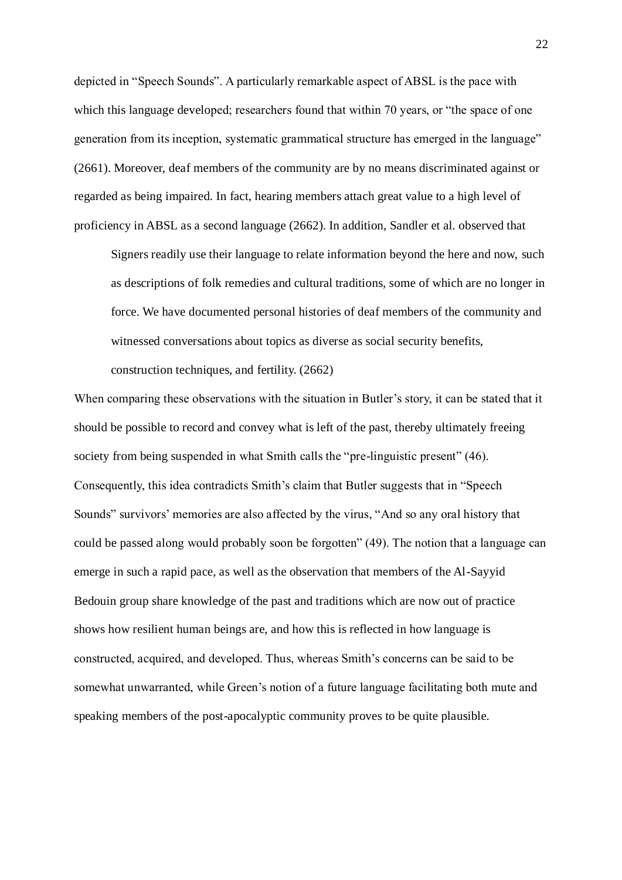depicted in "Speech Sounds". A particularly remarkable aspect of ABSL is the pace with which this language developed; researchers found that within 70 years, or "the space of one" generation from its inception, systematic grammatical structure has emerged in the language" (2661). Moreover, deaf members of the community are by no means discriminated against or regarded as being impaired. In fact, hearing members attach great value to a high level of proficiency in ABSL as a second language (2662). In addition, Sandler et al. observed that

Signers readily use their language to relate information beyond the here and now, such as descriptions of folk remedies and cultural traditions, some of which are no longer in force. We have documented personal histories of deaf members of the community and witnessed conversations about topics as diverse as social security benefits, construction techniques, and fertility. (2662)

When comparing these observations with the situation in Butler's story, it can be stated that it should be possible to record and convey what is left of the past, thereby ultimately freeing society from being suspended in what Smith calls the "pre-linguistic present" (46). Consequently, this idea contradicts Smith's claim that Butler suggests that in "Speech" Sounds" survivors' memories are also affected by the virus, "And so any oral history that could be passed along would probably soon be forgotten" (49). The notion that a language can emerge in such a rapid pace, as well as the observation that members of the Al-Sayyid Bedouin group share knowledge of the past and traditions which are now out of practice shows how resilient human beings are, and how this is reflected in how language is constructed, acquired, and developed. Thus, whereas Smith's concerns can be said to be somewhat unwarranted, while Green's notion of a future language facilitating both mute and speaking members of the post-apocalyptic community proves to be quite plausible.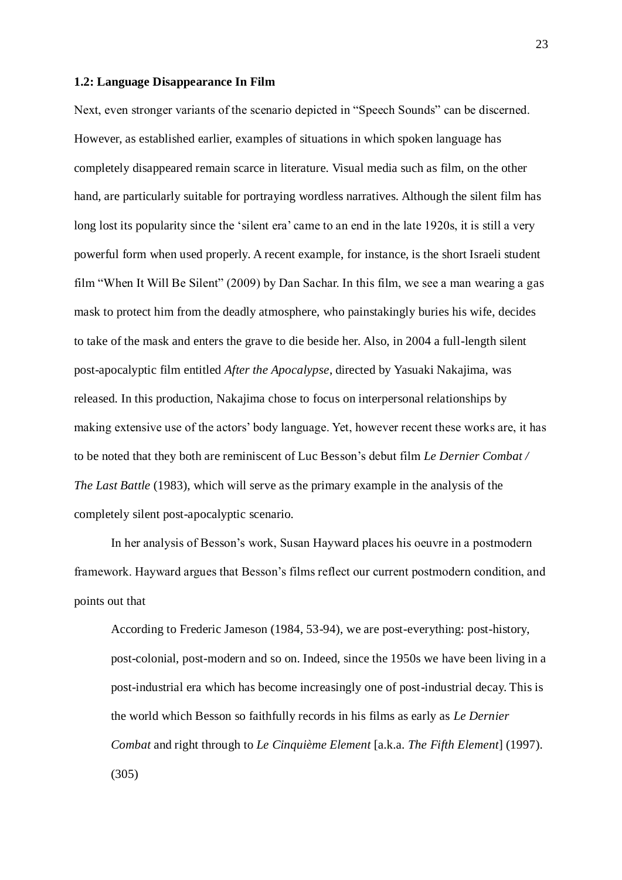#### **1.2: Language Disappearance In Film**

Next, even stronger variants of the scenario depicted in "Speech Sounds" can be discerned. However, as established earlier, examples of situations in which spoken language has completely disappeared remain scarce in literature. Visual media such as film, on the other hand, are particularly suitable for portraying wordless narratives. Although the silent film has long lost its popularity since the 'silent era' came to an end in the late 1920s, it is still a very powerful form when used properly. A recent example, for instance, is the short Israeli student film "When It Will Be Silent" (2009) by Dan Sachar. In this film, we see a man wearing a gas mask to protect him from the deadly atmosphere, who painstakingly buries his wife, decides to take of the mask and enters the grave to die beside her. Also, in 2004 a full-length silent post-apocalyptic film entitled *After the Apocalypse*, directed by Yasuaki Nakajima, was released. In this production, Nakajima chose to focus on interpersonal relationships by making extensive use of the actors' body language. Yet, however recent these works are, it has to be noted that they both are reminiscent of Luc Besson's debut film *Le Dernier Combat / The Last Battle* (1983), which will serve as the primary example in the analysis of the completely silent post-apocalyptic scenario.

In her analysis of Besson's work, Susan Hayward places his oeuvre in a postmodern framework. Hayward argues that Besson's films reflect our current postmodern condition, and points out that

According to Frederic Jameson (1984, 53-94), we are post-everything: post-history, post-colonial, post-modern and so on. Indeed, since the 1950s we have been living in a post-industrial era which has become increasingly one of post-industrial decay. This is the world which Besson so faithfully records in his films as early as *Le Dernier Combat* and right through to *Le Cinquième Element* [a.k.a. *The Fifth Element*] (1997). (305)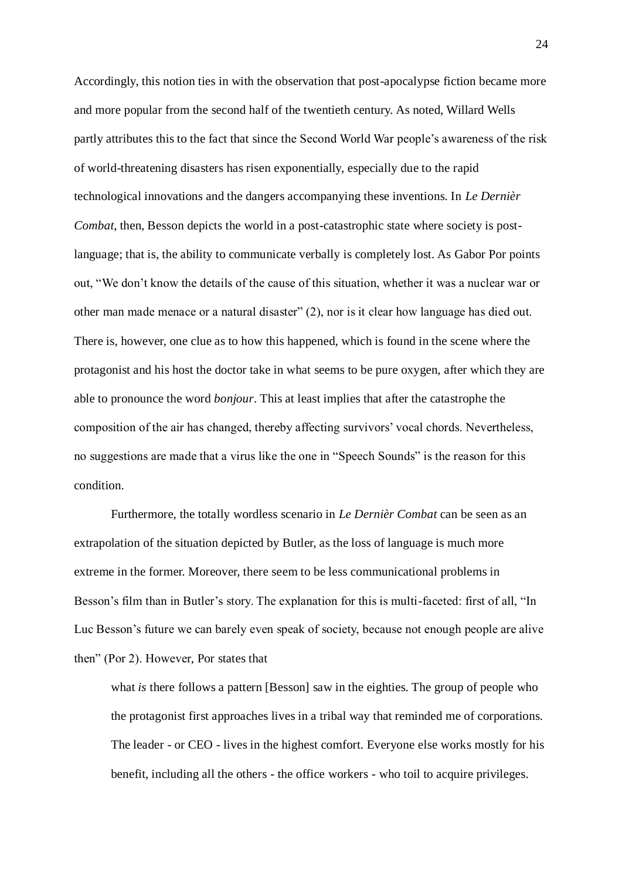Accordingly, this notion ties in with the observation that post-apocalypse fiction became more and more popular from the second half of the twentieth century. As noted, Willard Wells partly attributes this to the fact that since the Second World War people's awareness of the risk of world-threatening disasters has risen exponentially, especially due to the rapid technological innovations and the dangers accompanying these inventions. In *Le Dernièr Combat*, then, Besson depicts the world in a post-catastrophic state where society is postlanguage; that is, the ability to communicate verbally is completely lost. As Gabor Por points out, "We don't know the details of the cause of this situation, whether it was a nuclear war or other man made menace or a natural disaster"  $(2)$ , nor is it clear how language has died out. There is, however, one clue as to how this happened, which is found in the scene where the protagonist and his host the doctor take in what seems to be pure oxygen, after which they are able to pronounce the word *bonjour*. This at least implies that after the catastrophe the composition of the air has changed, thereby affecting survivors' vocal chords. Nevertheless, no suggestions are made that a virus like the one in "Speech Sounds" is the reason for this condition.

Furthermore, the totally wordless scenario in *Le Dernièr Combat* can be seen as an extrapolation of the situation depicted by Butler, as the loss of language is much more extreme in the former. Moreover, there seem to be less communicational problems in Besson's film than in Butler's story. The explanation for this is multi-faceted: first of all, "In Luc Besson's future we can barely even speak of society, because not enough people are alive then" (Por 2). However, Por states that

what *is* there follows a pattern [Besson] saw in the eighties. The group of people who the protagonist first approaches lives in a tribal way that reminded me of corporations. The leader - or CEO - lives in the highest comfort. Everyone else works mostly for his benefit, including all the others - the office workers - who toil to acquire privileges.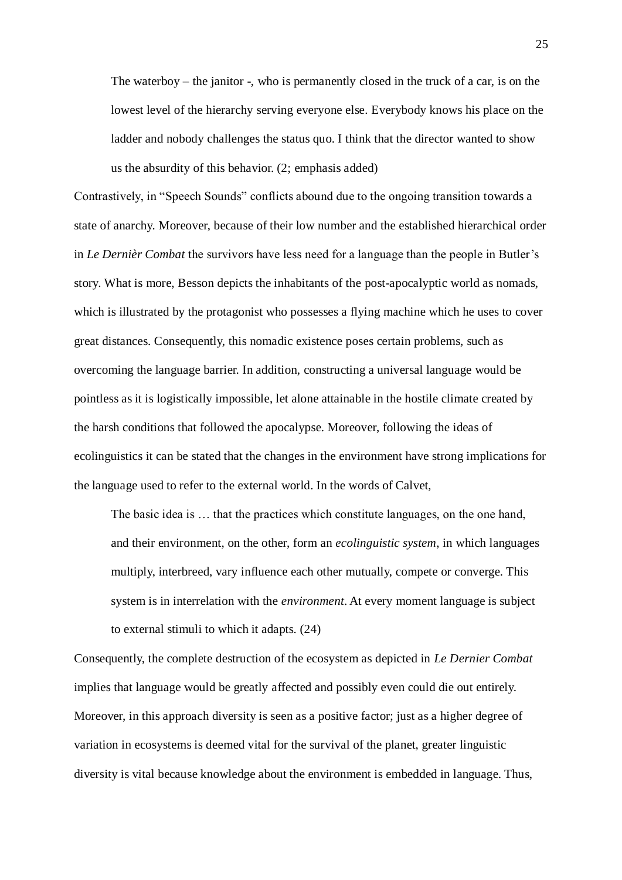The waterboy – the janitor -, who is permanently closed in the truck of a car, is on the lowest level of the hierarchy serving everyone else. Everybody knows his place on the ladder and nobody challenges the status quo. I think that the director wanted to show us the absurdity of this behavior. (2; emphasis added)

Contrastively, in "Speech Sounds" conflicts abound due to the ongoing transition towards a state of anarchy. Moreover, because of their low number and the established hierarchical order in *Le Dernièr Combat* the survivors have less need for a language than the people in Butler's story. What is more, Besson depicts the inhabitants of the post-apocalyptic world as nomads, which is illustrated by the protagonist who possesses a flying machine which he uses to cover great distances. Consequently, this nomadic existence poses certain problems, such as overcoming the language barrier. In addition, constructing a universal language would be pointless as it is logistically impossible, let alone attainable in the hostile climate created by the harsh conditions that followed the apocalypse. Moreover, following the ideas of ecolinguistics it can be stated that the changes in the environment have strong implications for the language used to refer to the external world. In the words of Calvet,

The basic idea is … that the practices which constitute languages, on the one hand, and their environment, on the other, form an *ecolinguistic system*, in which languages multiply, interbreed, vary influence each other mutually, compete or converge. This system is in interrelation with the *environment*. At every moment language is subject to external stimuli to which it adapts. (24)

Consequently, the complete destruction of the ecosystem as depicted in *Le Dernier Combat* implies that language would be greatly affected and possibly even could die out entirely. Moreover, in this approach diversity is seen as a positive factor; just as a higher degree of variation in ecosystems is deemed vital for the survival of the planet, greater linguistic diversity is vital because knowledge about the environment is embedded in language. Thus,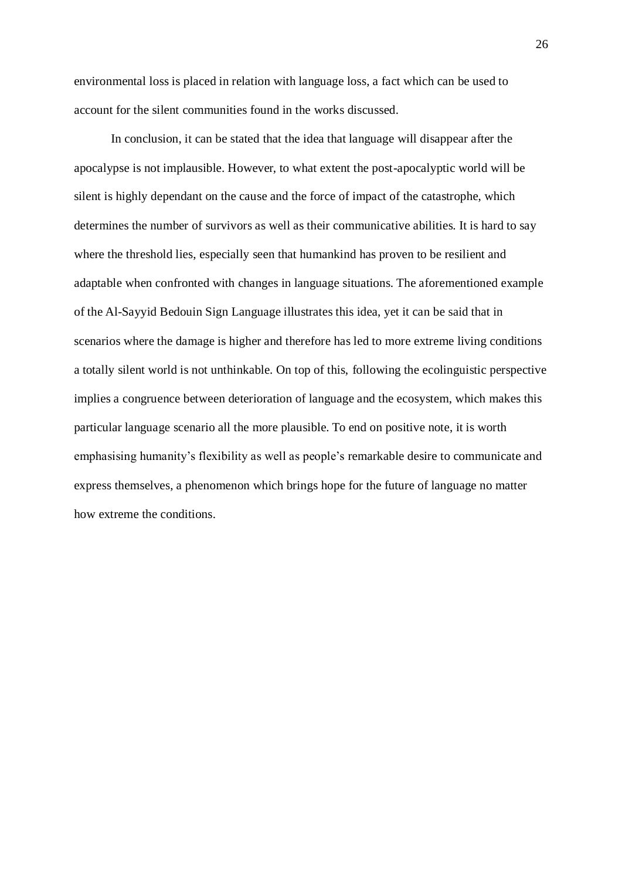environmental loss is placed in relation with language loss, a fact which can be used to account for the silent communities found in the works discussed.

In conclusion, it can be stated that the idea that language will disappear after the apocalypse is not implausible. However, to what extent the post-apocalyptic world will be silent is highly dependant on the cause and the force of impact of the catastrophe, which determines the number of survivors as well as their communicative abilities. It is hard to say where the threshold lies, especially seen that humankind has proven to be resilient and adaptable when confronted with changes in language situations. The aforementioned example of the Al-Sayyid Bedouin Sign Language illustrates this idea, yet it can be said that in scenarios where the damage is higher and therefore has led to more extreme living conditions a totally silent world is not unthinkable. On top of this, following the ecolinguistic perspective implies a congruence between deterioration of language and the ecosystem, which makes this particular language scenario all the more plausible. To end on positive note, it is worth emphasising humanity's flexibility as well as people's remarkable desire to communicate and express themselves, a phenomenon which brings hope for the future of language no matter how extreme the conditions.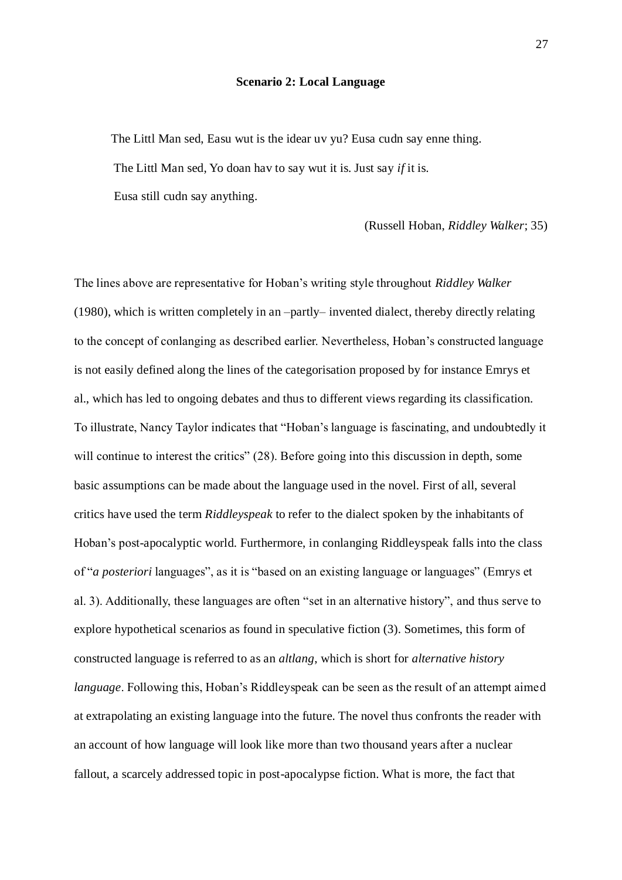#### **Scenario 2: Local Language**

The Littl Man sed, Easu wut is the idear uv yu? Eusa cudn say enne thing. The Littl Man sed, Yo doan hav to say wut it is. Just say *if* it is. Eusa still cudn say anything.

(Russell Hoban, *Riddley Walker*; 35)

The lines above are representative for Hoban's writing style throughout *Riddley Walker*  (1980), which is written completely in an –partly– invented dialect, thereby directly relating to the concept of conlanging as described earlier. Nevertheless, Hoban's constructed language is not easily defined along the lines of the categorisation proposed by for instance Emrys et al., which has led to ongoing debates and thus to different views regarding its classification. To illustrate, Nancy Taylor indicates that "Hoban's language is fascinating, and undoubtedly it will continue to interest the critics" (28). Before going into this discussion in depth, some basic assumptions can be made about the language used in the novel. First of all, several critics have used the term *Riddleyspeak* to refer to the dialect spoken by the inhabitants of Hoban's post-apocalyptic world. Furthermore, in conlanging Riddleyspeak falls into the class of "*a posteriori* languages", as it is "based on an existing language or languages" (Emrys et al. 3). Additionally, these languages are often "set in an alternative history", and thus serve to explore hypothetical scenarios as found in speculative fiction (3). Sometimes, this form of constructed language is referred to as an *altlang*, which is short for *alternative history language*. Following this, Hoban's Riddleyspeak can be seen as the result of an attempt aimed at extrapolating an existing language into the future. The novel thus confronts the reader with an account of how language will look like more than two thousand years after a nuclear fallout, a scarcely addressed topic in post-apocalypse fiction. What is more, the fact that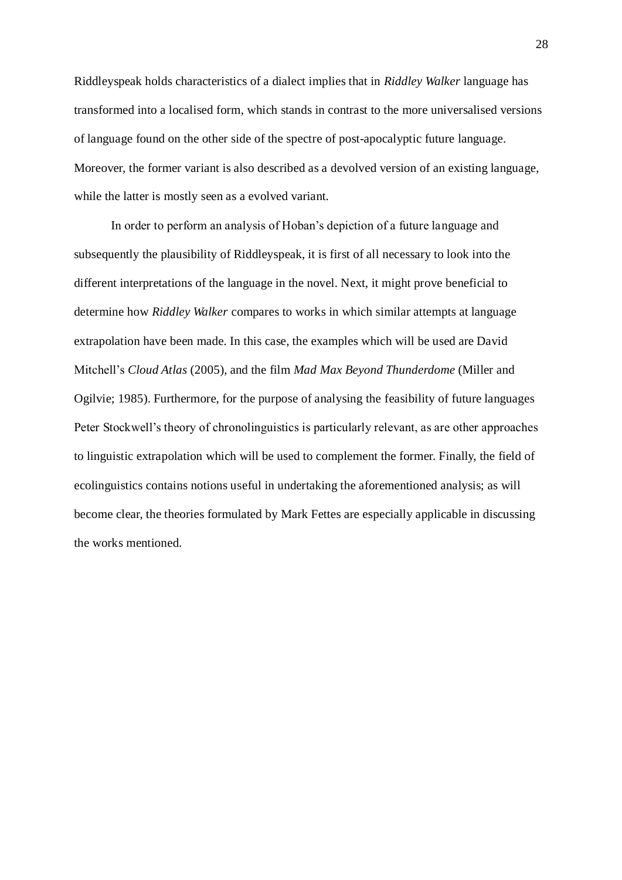Riddleyspeak holds characteristics of a dialect implies that in *Riddley Walker* language has transformed into a localised form, which stands in contrast to the more universalised versions of language found on the other side of the spectre of post-apocalyptic future language. Moreover, the former variant is also described as a devolved version of an existing language, while the latter is mostly seen as a evolved variant.

In order to perform an analysis of Hoban's depiction of a future language and subsequently the plausibility of Riddleyspeak, it is first of all necessary to look into the different interpretations of the language in the novel. Next, it might prove beneficial to determine how *Riddley Walker* compares to works in which similar attempts at language extrapolation have been made. In this case, the examples which will be used are David Mitchell's *Cloud Atlas* (2005), and the film *Mad Max Beyond Thunderdome* (Miller and Ogilvie; 1985). Furthermore, for the purpose of analysing the feasibility of future languages Peter Stockwell's theory of chronolinguistics is particularly relevant, as are other approaches to linguistic extrapolation which will be used to complement the former. Finally, the field of ecolinguistics contains notions useful in undertaking the aforementioned analysis; as will become clear, the theories formulated by Mark Fettes are especially applicable in discussing the works mentioned.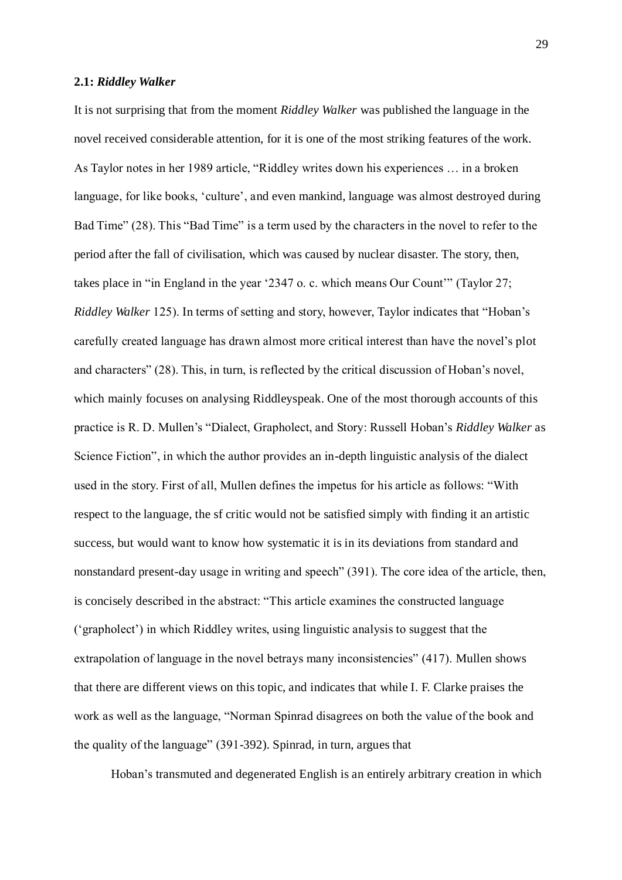#### **2.1:** *Riddley Walker*

It is not surprising that from the moment *Riddley Walker* was published the language in the novel received considerable attention, for it is one of the most striking features of the work. As Taylor notes in her 1989 article, "Riddley writes down his experiences ... in a broken language, for like books, 'culture', and even mankind, language was almost destroyed during Bad Time" (28). This "Bad Time" is a term used by the characters in the novel to refer to the period after the fall of civilisation, which was caused by nuclear disaster. The story, then, takes place in "in England in the year  $2347$  o. c. which means Our Count'" (Taylor 27; *Riddley Walker* 125). In terms of setting and story, however, Taylor indicates that "Hoban's carefully created language has drawn almost more critical interest than have the novel's plot and characters" (28). This, in turn, is reflected by the critical discussion of Hoban's novel, which mainly focuses on analysing Riddleyspeak. One of the most thorough accounts of this practice is R. D. Mullen's "Dialect, Grapholect, and Story: Russell Hoban's *Riddley Walker* as Science Fiction", in which the author provides an in-depth linguistic analysis of the dialect used in the story. First of all, Mullen defines the impetus for his article as follows: "With respect to the language, the sf critic would not be satisfied simply with finding it an artistic success, but would want to know how systematic it is in its deviations from standard and nonstandard present-day usage in writing and speech" (391). The core idea of the article, then, is concisely described in the abstract: "This article examines the constructed language (‗grapholect') in which Riddley writes, using linguistic analysis to suggest that the extrapolation of language in the novel betrays many inconsistencies" (417). Mullen shows that there are different views on this topic, and indicates that while I. F. Clarke praises the work as well as the language, "Norman Spinrad disagrees on both the value of the book and the quality of the language" (391-392). Spinrad, in turn, argues that

Hoban's transmuted and degenerated English is an entirely arbitrary creation in which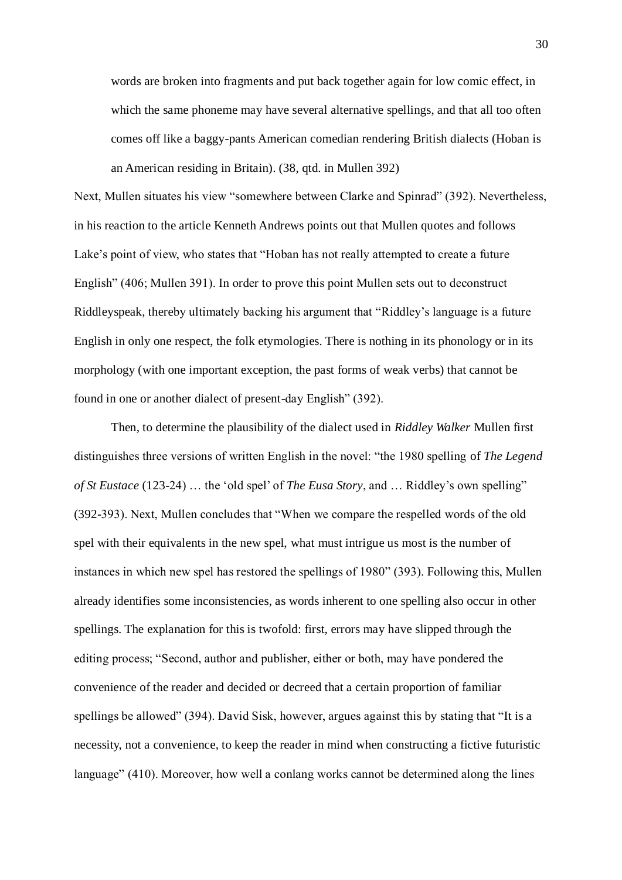words are broken into fragments and put back together again for low comic effect, in which the same phoneme may have several alternative spellings, and that all too often comes off like a baggy-pants American comedian rendering British dialects (Hoban is an American residing in Britain). (38, qtd. in Mullen 392)

Next, Mullen situates his view "somewhere between Clarke and Spinrad" (392). Nevertheless, in his reaction to the article Kenneth Andrews points out that Mullen quotes and follows Lake's point of view, who states that "Hoban has not really attempted to create a future English" (406; Mullen 391). In order to prove this point Mullen sets out to deconstruct Riddleyspeak, thereby ultimately backing his argument that "Riddley's language is a future English in only one respect, the folk etymologies. There is nothing in its phonology or in its morphology (with one important exception, the past forms of weak verbs) that cannot be found in one or another dialect of present-day English" (392).

Then, to determine the plausibility of the dialect used in *Riddley Walker* Mullen first distinguishes three versions of written English in the novel: "the 1980 spelling of *The Legend of St Eustace* (123-24) ... the 'old spel' of *The Eusa Story*, and ... Riddley's own spelling" (392-393). Next, Mullen concludes that "When we compare the respelled words of the old spel with their equivalents in the new spel, what must intrigue us most is the number of instances in which new spel has restored the spellings of 1980" (393). Following this, Mullen already identifies some inconsistencies, as words inherent to one spelling also occur in other spellings. The explanation for this is twofold: first, errors may have slipped through the editing process; "Second, author and publisher, either or both, may have pondered the convenience of the reader and decided or decreed that a certain proportion of familiar spellings be allowed" (394). David Sisk, however, argues against this by stating that "It is a necessity, not a convenience, to keep the reader in mind when constructing a fictive futuristic language" (410). Moreover, how well a conlang works cannot be determined along the lines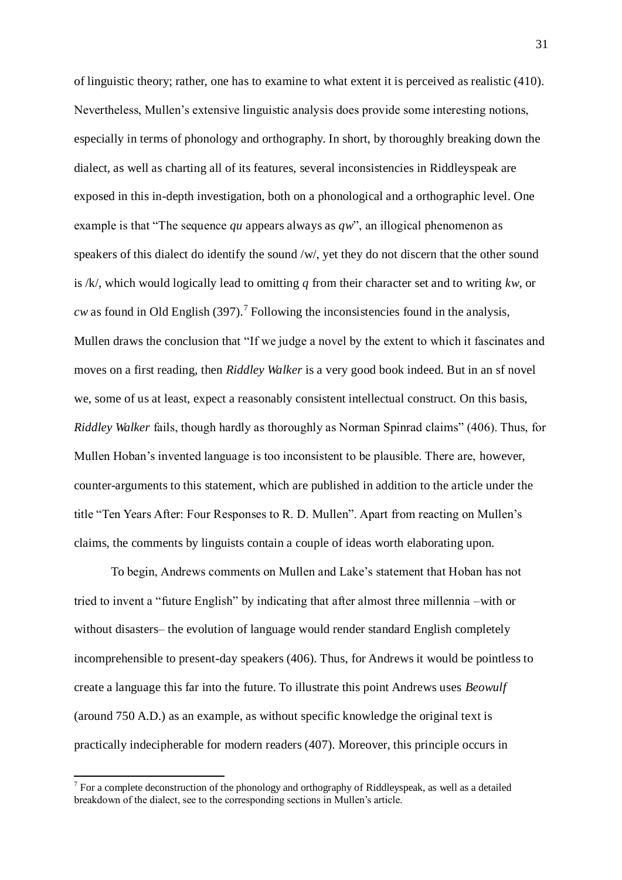of linguistic theory; rather, one has to examine to what extent it is perceived as realistic (410). Nevertheless, Mullen's extensive linguistic analysis does provide some interesting notions, especially in terms of phonology and orthography. In short, by thoroughly breaking down the dialect, as well as charting all of its features, several inconsistencies in Riddleyspeak are exposed in this in-depth investigation, both on a phonological and a orthographic level. One example is that "The sequence *qu* appears always as  $qw$ ", an illogical phenomenon as speakers of this dialect do identify the sound /w/, yet they do not discern that the other sound is /k/, which would logically lead to omitting *q* from their character set and to writing *kw*, or  $cw$  as found in Old English (397).<sup>7</sup> Following the inconsistencies found in the analysis, Mullen draws the conclusion that "If we judge a novel by the extent to which it fascinates and moves on a first reading, then *Riddley Walker* is a very good book indeed. But in an sf novel we, some of us at least, expect a reasonably consistent intellectual construct. On this basis, *Riddley Walker* fails, though hardly as thoroughly as Norman Spinrad claims" (406). Thus, for Mullen Hoban's invented language is too inconsistent to be plausible. There are, however, counter-arguments to this statement, which are published in addition to the article under the title "Ten Years After: Four Responses to R. D. Mullen". Apart from reacting on Mullen's claims, the comments by linguists contain a couple of ideas worth elaborating upon.

To begin, Andrews comments on Mullen and Lake's statement that Hoban has not tried to invent a "future English" by indicating that after almost three millennia –with or without disasters– the evolution of language would render standard English completely incomprehensible to present-day speakers (406). Thus, for Andrews it would be pointless to create a language this far into the future. To illustrate this point Andrews uses *Beowulf*  (around 750 A.D.) as an example, as without specific knowledge the original text is practically indecipherable for modern readers (407). Moreover, this principle occurs in

 $\overline{a}$ 

 $7$  For a complete deconstruction of the phonology and orthography of Riddleyspeak, as well as a detailed breakdown of the dialect, see to the corresponding sections in Mullen's article.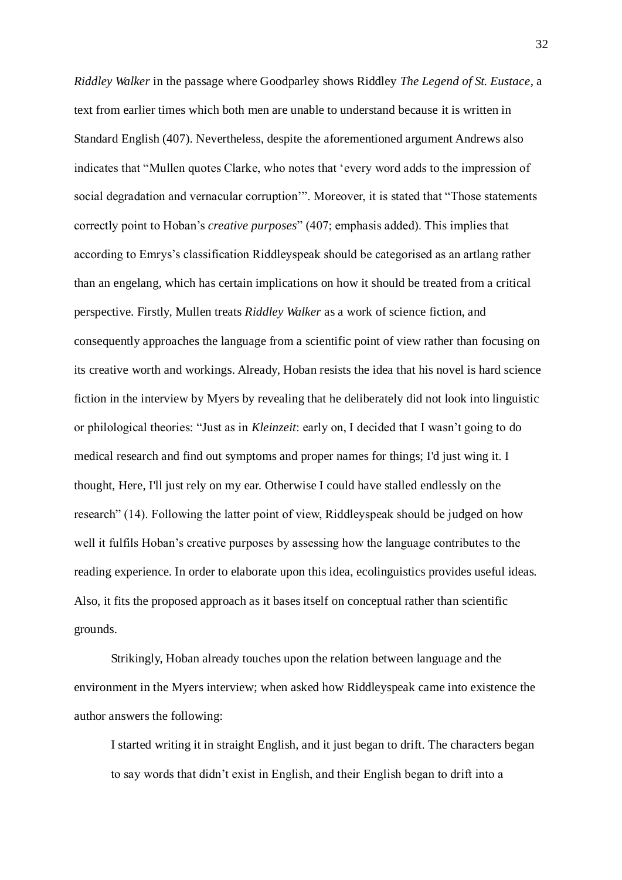*Riddley Walker* in the passage where Goodparley shows Riddley *The Legend of St. Eustace*, a text from earlier times which both men are unable to understand because it is written in Standard English (407). Nevertheless, despite the aforementioned argument Andrews also indicates that "Mullen quotes Clarke, who notes that 'every word adds to the impression of social degradation and vernacular corruption". Moreover, it is stated that "Those statements" correctly point to Hoban's *creative purposes*‖ (407; emphasis added). This implies that according to Emrys's classification Riddleyspeak should be categorised as an artlang rather than an engelang, which has certain implications on how it should be treated from a critical perspective. Firstly, Mullen treats *Riddley Walker* as a work of science fiction, and consequently approaches the language from a scientific point of view rather than focusing on its creative worth and workings. Already, Hoban resists the idea that his novel is hard science fiction in the interview by Myers by revealing that he deliberately did not look into linguistic or philological theories: "Just as in *Kleinzeit*: early on, I decided that I wasn't going to do medical research and find out symptoms and proper names for things; I'd just wing it. I thought, Here, I'll just rely on my ear. Otherwise I could have stalled endlessly on the research" (14). Following the latter point of view, Riddleyspeak should be judged on how well it fulfils Hoban's creative purposes by assessing how the language contributes to the reading experience. In order to elaborate upon this idea, ecolinguistics provides useful ideas. Also, it fits the proposed approach as it bases itself on conceptual rather than scientific grounds.

Strikingly, Hoban already touches upon the relation between language and the environment in the Myers interview; when asked how Riddleyspeak came into existence the author answers the following:

I started writing it in straight English, and it just began to drift. The characters began to say words that didn't exist in English, and their English began to drift into a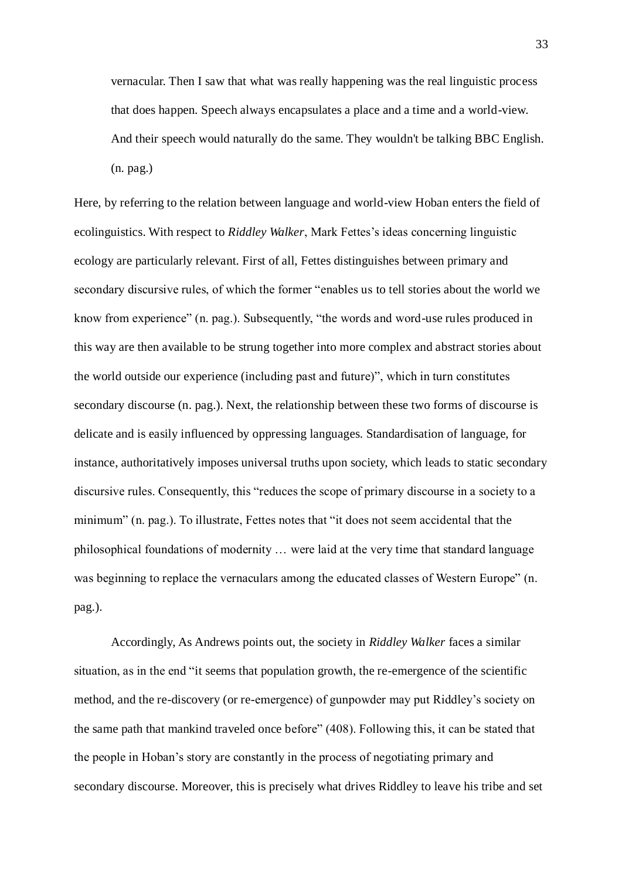vernacular. Then I saw that what was really happening was the real linguistic process that does happen. Speech always encapsulates a place and a time and a world-view. And their speech would naturally do the same. They wouldn't be talking BBC English. (n. pag.)

Here, by referring to the relation between language and world-view Hoban enters the field of ecolinguistics. With respect to *Riddley Walker*, Mark Fettes's ideas concerning linguistic ecology are particularly relevant. First of all, Fettes distinguishes between primary and secondary discursive rules, of which the former "enables us to tell stories about the world we know from experience" (n. pag.). Subsequently, "the words and word-use rules produced in this way are then available to be strung together into more complex and abstract stories about the world outside our experience (including past and future)", which in turn constitutes secondary discourse (n. pag.). Next, the relationship between these two forms of discourse is delicate and is easily influenced by oppressing languages. Standardisation of language, for instance, authoritatively imposes universal truths upon society, which leads to static secondary discursive rules. Consequently, this "reduces the scope of primary discourse in a society to a minimum" (n. pag.). To illustrate, Fettes notes that "it does not seem accidental that the philosophical foundations of modernity … were laid at the very time that standard language was beginning to replace the vernaculars among the educated classes of Western Europe" (n. pag.).

Accordingly, As Andrews points out, the society in *Riddley Walker* faces a similar situation, as in the end "it seems that population growth, the re-emergence of the scientific method, and the re-discovery (or re-emergence) of gunpowder may put Riddley's society on the same path that mankind traveled once before" (408). Following this, it can be stated that the people in Hoban's story are constantly in the process of negotiating primary and secondary discourse. Moreover, this is precisely what drives Riddley to leave his tribe and set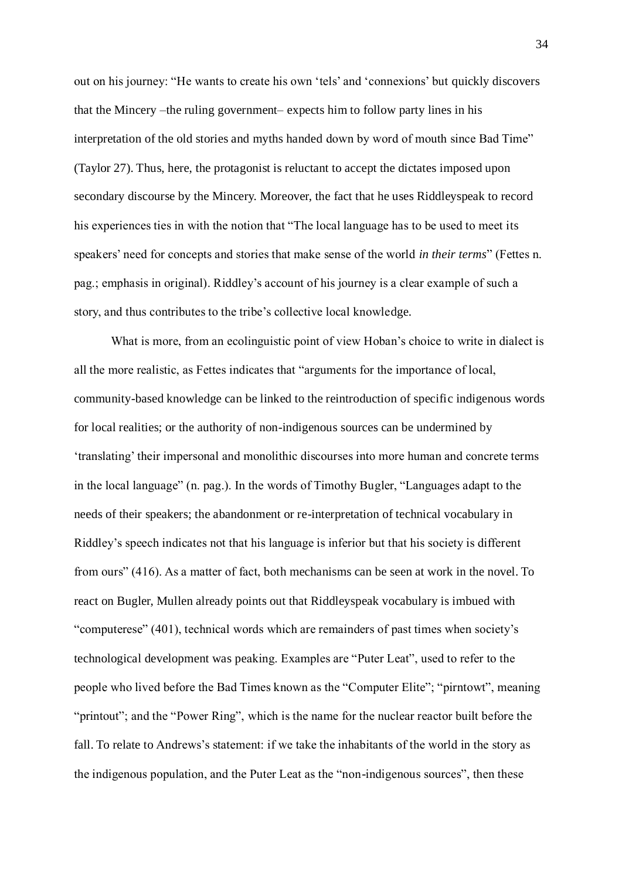out on his journey: "He wants to create his own 'tels' and 'connexions' but quickly discovers that the Mincery –the ruling government– expects him to follow party lines in his interpretation of the old stories and myths handed down by word of mouth since Bad Time" (Taylor 27). Thus, here, the protagonist is reluctant to accept the dictates imposed upon secondary discourse by the Mincery. Moreover, the fact that he uses Riddleyspeak to record his experiences ties in with the notion that "The local language has to be used to meet its speakers' need for concepts and stories that make sense of the world *in their terms*‖ (Fettes n. pag.; emphasis in original). Riddley's account of his journey is a clear example of such a story, and thus contributes to the tribe's collective local knowledge.

What is more, from an ecolinguistic point of view Hoban's choice to write in dialect is all the more realistic, as Fettes indicates that "arguments for the importance of local, community-based knowledge can be linked to the reintroduction of specific indigenous words for local realities; or the authority of non-indigenous sources can be undermined by ‗translating' their impersonal and monolithic discourses into more human and concrete terms in the local language" (n. pag.). In the words of Timothy Bugler, "Languages adapt to the needs of their speakers; the abandonment or re-interpretation of technical vocabulary in Riddley's speech indicates not that his language is inferior but that his society is different from ours" (416). As a matter of fact, both mechanisms can be seen at work in the novel. To react on Bugler, Mullen already points out that Riddleyspeak vocabulary is imbued with "computerese" (401), technical words which are remainders of past times when society's technological development was peaking. Examples are "Puter Leat", used to refer to the people who lived before the Bad Times known as the "Computer Elite"; "pirntowt", meaning "printout"; and the "Power Ring", which is the name for the nuclear reactor built before the fall. To relate to Andrews's statement: if we take the inhabitants of the world in the story as the indigenous population, and the Puter Leat as the "non-indigenous sources", then these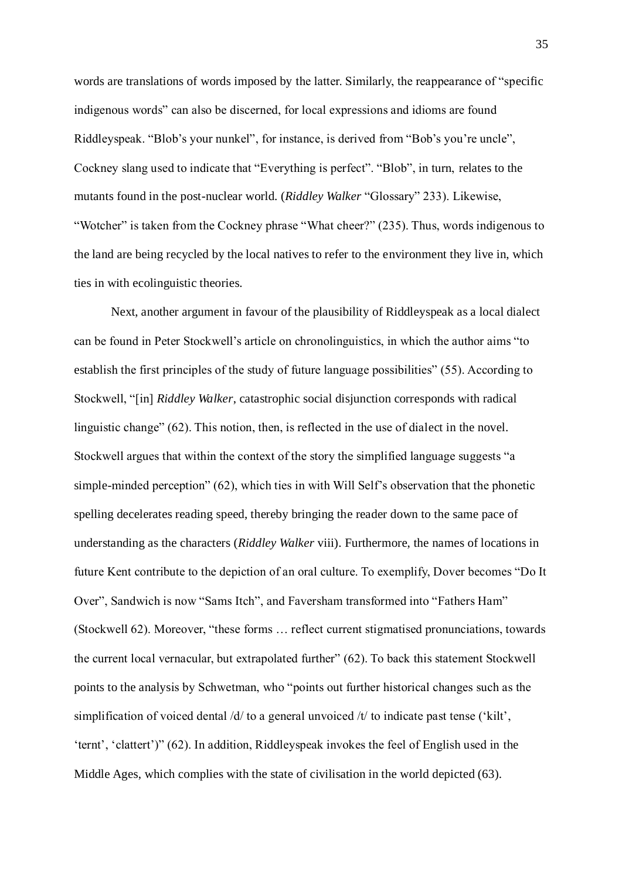words are translations of words imposed by the latter. Similarly, the reappearance of "specific indigenous words" can also be discerned, for local expressions and idioms are found Riddleyspeak. "Blob's your nunkel", for instance, is derived from "Bob's you're uncle", Cockney slang used to indicate that "Everything is perfect". "Blob", in turn, relates to the mutants found in the post-nuclear world. (*Riddley Walker* "Glossary" 233). Likewise, "Wotcher" is taken from the Cockney phrase "What cheer?" (235). Thus, words indigenous to the land are being recycled by the local natives to refer to the environment they live in, which ties in with ecolinguistic theories.

Next, another argument in favour of the plausibility of Riddleyspeak as a local dialect can be found in Peter Stockwell's article on chronolinguistics, in which the author aims "to" establish the first principles of the study of future language possibilities" (55). According to Stockwell, "[in] *Riddley Walker*, catastrophic social disjunction corresponds with radical linguistic change"  $(62)$ . This notion, then, is reflected in the use of dialect in the novel. Stockwell argues that within the context of the story the simplified language suggests "a simple-minded perception" (62), which ties in with Will Self's observation that the phonetic spelling decelerates reading speed, thereby bringing the reader down to the same pace of understanding as the characters (*Riddley Walker* viii). Furthermore, the names of locations in future Kent contribute to the depiction of an oral culture. To exemplify, Dover becomes "Do It" Over", Sandwich is now "Sams Itch", and Faversham transformed into "Fathers Ham" (Stockwell 62). Moreover, "these forms ... reflect current stigmatised pronunciations, towards the current local vernacular, but extrapolated further" (62). To back this statement Stockwell points to the analysis by Schwetman, who "points out further historical changes such as the simplification of voiced dental  $\frac{d}{dx}$  to a general unvoiced  $\frac{d}{dx}$  to indicate past tense ('kilt', 'ternt', 'clattert')" (62). In addition, Riddleyspeak invokes the feel of English used in the Middle Ages, which complies with the state of civilisation in the world depicted (63).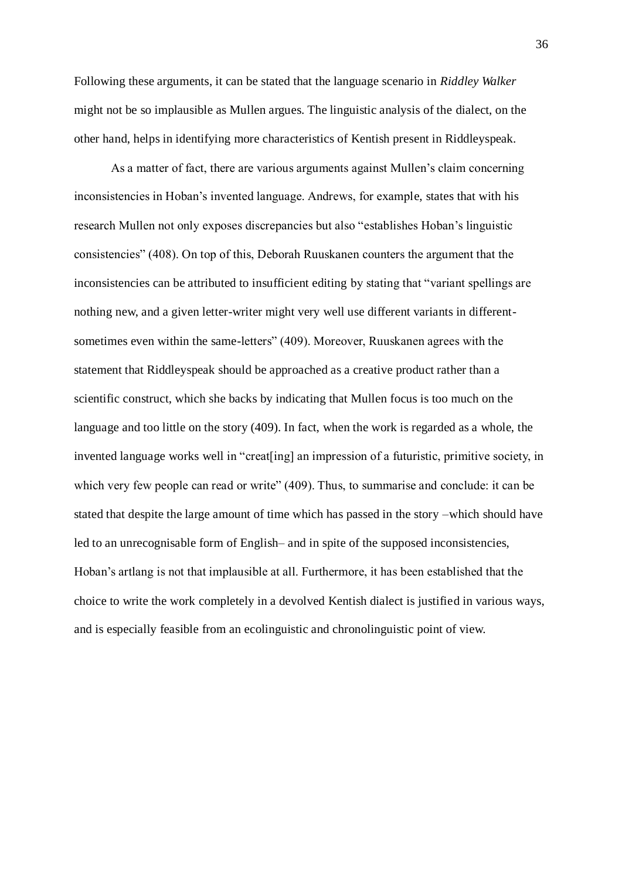Following these arguments, it can be stated that the language scenario in *Riddley Walker*  might not be so implausible as Mullen argues. The linguistic analysis of the dialect, on the other hand, helps in identifying more characteristics of Kentish present in Riddleyspeak.

As a matter of fact, there are various arguments against Mullen's claim concerning inconsistencies in Hoban's invented language. Andrews, for example, states that with his research Mullen not only exposes discrepancies but also "establishes Hoban's linguistic consistencies" (408). On top of this, Deborah Ruuskanen counters the argument that the inconsistencies can be attributed to insufficient editing by stating that "variant spellings are nothing new, and a given letter-writer might very well use different variants in differentsometimes even within the same-letters" (409). Moreover, Ruuskanen agrees with the statement that Riddleyspeak should be approached as a creative product rather than a scientific construct, which she backs by indicating that Mullen focus is too much on the language and too little on the story (409). In fact, when the work is regarded as a whole, the invented language works well in "creat [ing] an impression of a futuristic, primitive society, in which very few people can read or write" (409). Thus, to summarise and conclude: it can be stated that despite the large amount of time which has passed in the story –which should have led to an unrecognisable form of English– and in spite of the supposed inconsistencies, Hoban's artlang is not that implausible at all. Furthermore, it has been established that the choice to write the work completely in a devolved Kentish dialect is justified in various ways, and is especially feasible from an ecolinguistic and chronolinguistic point of view.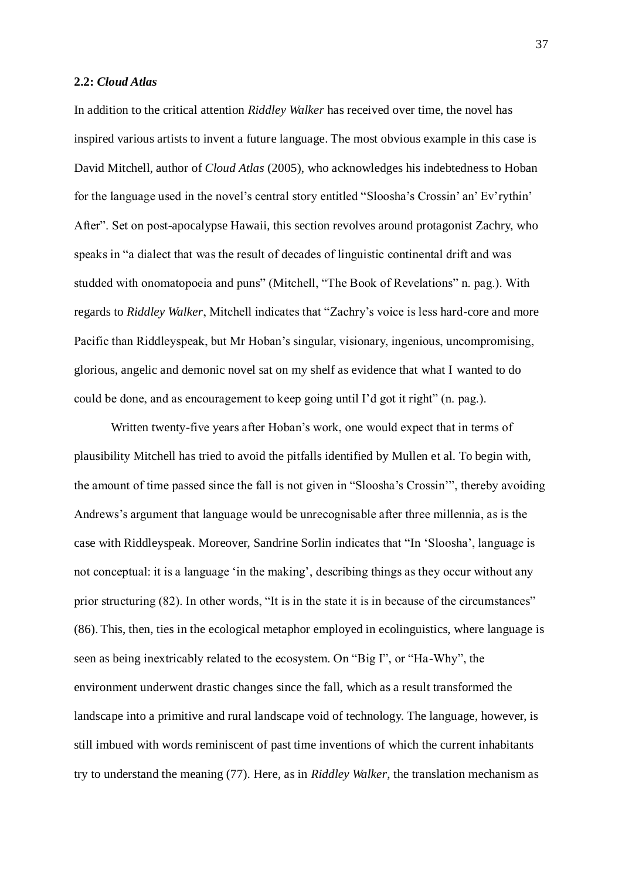### **2.2:** *Cloud Atlas*

In addition to the critical attention *Riddley Walker* has received over time, the novel has inspired various artists to invent a future language. The most obvious example in this case is David Mitchell, author of *Cloud Atlas* (2005), who acknowledges his indebtedness to Hoban for the language used in the novel's central story entitled "Sloosha's Crossin' an' Ev'rythin' After". Set on post-apocalypse Hawaii, this section revolves around protagonist Zachry, who speaks in "a dialect that was the result of decades of linguistic continental drift and was studded with onomatopoeia and puns" (Mitchell, "The Book of Revelations" n. pag.). With regards to *Riddley Walker*, Mitchell indicates that "Zachry's voice is less hard-core and more Pacific than Riddleyspeak, but Mr Hoban's singular, visionary, ingenious, uncompromising, glorious, angelic and demonic novel sat on my shelf as evidence that what I wanted to do could be done, and as encouragement to keep going until I'd got it right"  $(n.$  pag.).

Written twenty-five years after Hoban's work, one would expect that in terms of plausibility Mitchell has tried to avoid the pitfalls identified by Mullen et al. To begin with, the amount of time passed since the fall is not given in "Sloosha's Crossin", thereby avoiding Andrews's argument that language would be unrecognisable after three millennia, as is the case with Riddleyspeak. Moreover, Sandrine Sorlin indicates that "In 'Sloosha', language is not conceptual: it is a language 'in the making', describing things as they occur without any prior structuring (82). In other words, "It is in the state it is in because of the circumstances" (86). This, then, ties in the ecological metaphor employed in ecolinguistics, where language is seen as being inextricably related to the ecosystem. On "Big I", or "Ha-Why", the environment underwent drastic changes since the fall, which as a result transformed the landscape into a primitive and rural landscape void of technology. The language, however, is still imbued with words reminiscent of past time inventions of which the current inhabitants try to understand the meaning (77). Here, as in *Riddley Walker*, the translation mechanism as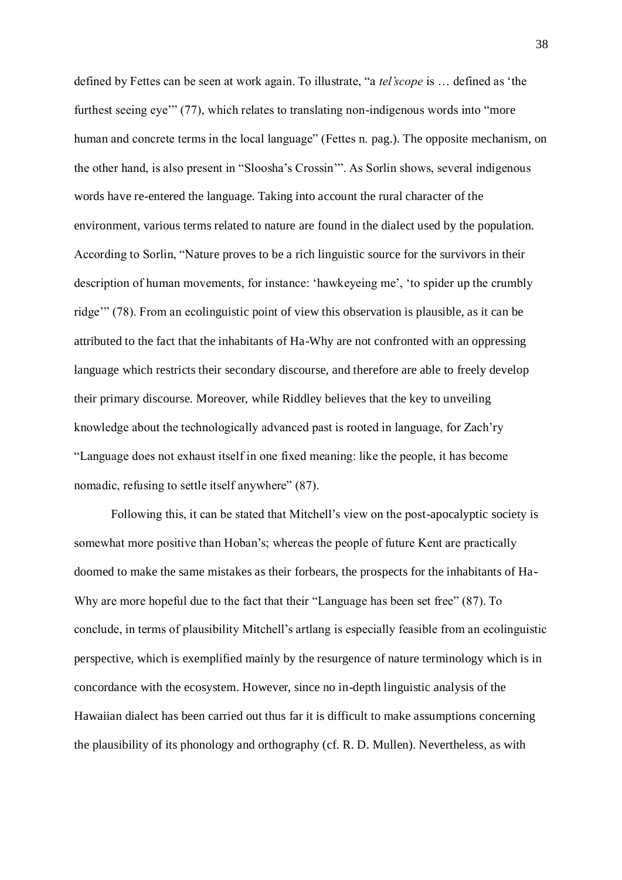defined by Fettes can be seen at work again. To illustrate, "a *tel'scope* is ... defined as 'the furthest seeing eye"  $(77)$ , which relates to translating non-indigenous words into "more human and concrete terms in the local language" (Fettes n. pag.). The opposite mechanism, on the other hand, is also present in "Sloosha's Crossin'". As Sorlin shows, several indigenous words have re-entered the language. Taking into account the rural character of the environment, various terms related to nature are found in the dialect used by the population. According to Sorlin, "Nature proves to be a rich linguistic source for the survivors in their description of human movements, for instance: 'hawkeyeing me', 'to spider up the crumbly ridge" (78). From an ecolinguistic point of view this observation is plausible, as it can be attributed to the fact that the inhabitants of Ha-Why are not confronted with an oppressing language which restricts their secondary discourse, and therefore are able to freely develop their primary discourse. Moreover, while Riddley believes that the key to unveiling knowledge about the technologically advanced past is rooted in language, for Zach'ry ―Language does not exhaust itself in one fixed meaning: like the people, it has become nomadic, refusing to settle itself anywhere" (87).

Following this, it can be stated that Mitchell's view on the post-apocalyptic society is somewhat more positive than Hoban's; whereas the people of future Kent are practically doomed to make the same mistakes as their forbears, the prospects for the inhabitants of Ha-Why are more hopeful due to the fact that their "Language has been set free" (87). To conclude, in terms of plausibility Mitchell's artlang is especially feasible from an ecolinguistic perspective, which is exemplified mainly by the resurgence of nature terminology which is in concordance with the ecosystem. However, since no in-depth linguistic analysis of the Hawaiian dialect has been carried out thus far it is difficult to make assumptions concerning the plausibility of its phonology and orthography (cf. R. D. Mullen). Nevertheless, as with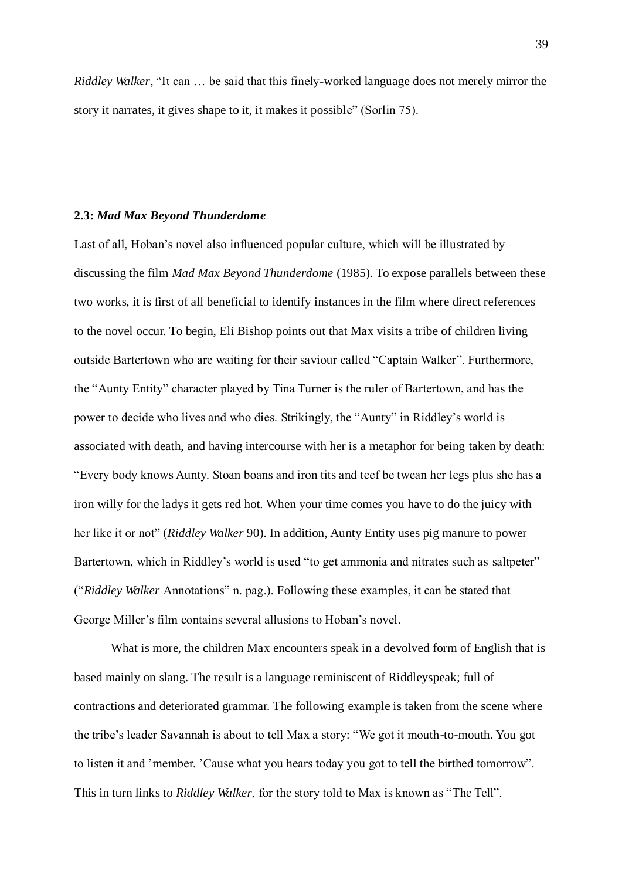*Riddley Walker*, "It can ... be said that this finely-worked language does not merely mirror the story it narrates, it gives shape to it, it makes it possible" (Sorlin 75).

### **2.3:** *Mad Max Beyond Thunderdome*

Last of all, Hoban's novel also influenced popular culture, which will be illustrated by discussing the film *Mad Max Beyond Thunderdome* (1985). To expose parallels between these two works, it is first of all beneficial to identify instances in the film where direct references to the novel occur. To begin, Eli Bishop points out that Max visits a tribe of children living outside Bartertown who are waiting for their saviour called "Captain Walker". Furthermore, the "Aunty Entity" character played by Tina Turner is the ruler of Bartertown, and has the power to decide who lives and who dies. Strikingly, the "Aunty" in Riddley's world is associated with death, and having intercourse with her is a metaphor for being taken by death: ―Every body knows Aunty. Stoan boans and iron tits and teef be twean her legs plus she has a iron willy for the ladys it gets red hot. When your time comes you have to do the juicy with her like it or not" (*Riddley Walker* 90). In addition, Aunty Entity uses pig manure to power Bartertown, which in Riddley's world is used "to get ammonia and nitrates such as saltpeter" (―*Riddley Walker* Annotations‖ n. pag.). Following these examples, it can be stated that George Miller's film contains several allusions to Hoban's novel.

What is more, the children Max encounters speak in a devolved form of English that is based mainly on slang. The result is a language reminiscent of Riddleyspeak; full of contractions and deteriorated grammar. The following example is taken from the scene where the tribe's leader Savannah is about to tell Max a story: "We got it mouth-to-mouth. You got to listen it and 'member. 'Cause what you hears today you got to tell the birthed tomorrow". This in turn links to *Riddley Walker*, for the story told to Max is known as "The Tell".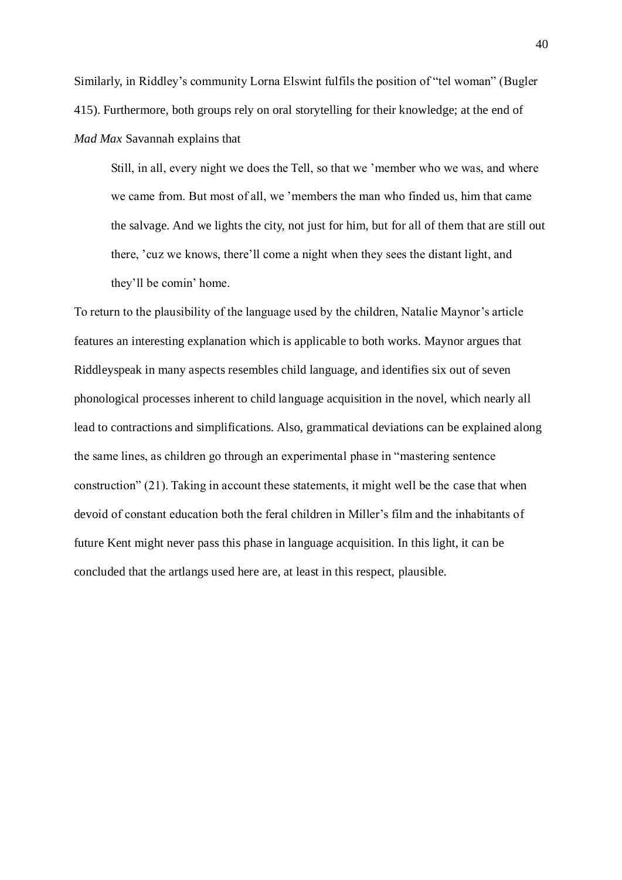Similarly, in Riddley's community Lorna Elswint fulfils the position of "tel woman" (Bugler 415). Furthermore, both groups rely on oral storytelling for their knowledge; at the end of *Mad Max* Savannah explains that

Still, in all, every night we does the Tell, so that we 'member who we was, and where we came from. But most of all, we 'members the man who finded us, him that came the salvage. And we lights the city, not just for him, but for all of them that are still out there, 'cuz we knows, there'll come a night when they sees the distant light, and they'll be comin' home.

To return to the plausibility of the language used by the children, Natalie Maynor's article features an interesting explanation which is applicable to both works. Maynor argues that Riddleyspeak in many aspects resembles child language, and identifies six out of seven phonological processes inherent to child language acquisition in the novel, which nearly all lead to contractions and simplifications. Also, grammatical deviations can be explained along the same lines, as children go through an experimental phase in "mastering sentence" construction"  $(21)$ . Taking in account these statements, it might well be the case that when devoid of constant education both the feral children in Miller's film and the inhabitants of future Kent might never pass this phase in language acquisition. In this light, it can be concluded that the artlangs used here are, at least in this respect, plausible.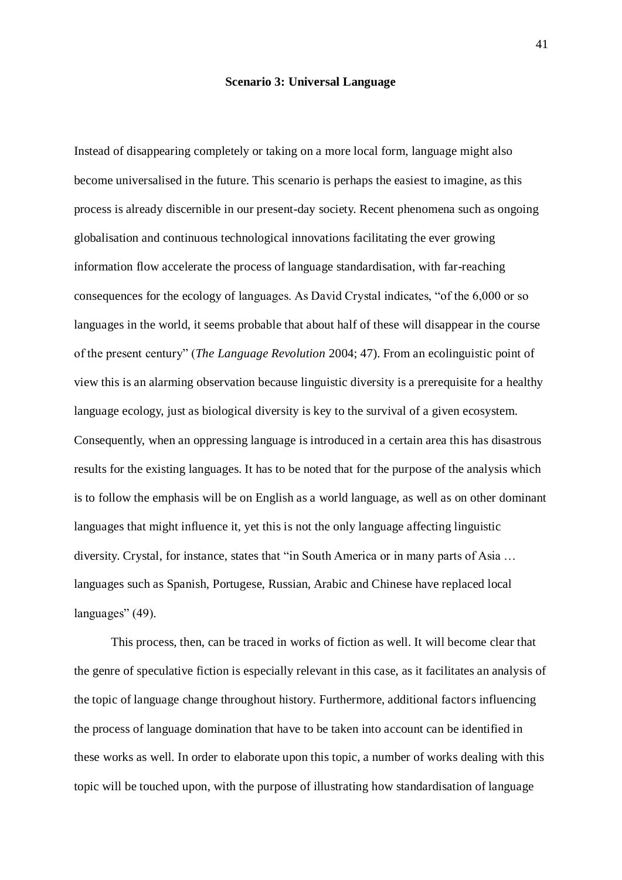#### **Scenario 3: Universal Language**

Instead of disappearing completely or taking on a more local form, language might also become universalised in the future. This scenario is perhaps the easiest to imagine, as this process is already discernible in our present-day society. Recent phenomena such as ongoing globalisation and continuous technological innovations facilitating the ever growing information flow accelerate the process of language standardisation, with far-reaching consequences for the ecology of languages. As David Crystal indicates, "of the 6,000 or so languages in the world, it seems probable that about half of these will disappear in the course of the present century‖ (*The Language Revolution* 2004; 47). From an ecolinguistic point of view this is an alarming observation because linguistic diversity is a prerequisite for a healthy language ecology, just as biological diversity is key to the survival of a given ecosystem. Consequently, when an oppressing language is introduced in a certain area this has disastrous results for the existing languages. It has to be noted that for the purpose of the analysis which is to follow the emphasis will be on English as a world language, as well as on other dominant languages that might influence it, yet this is not the only language affecting linguistic diversity. Crystal, for instance, states that "in South America or in many parts of Asia ... languages such as Spanish, Portugese, Russian, Arabic and Chinese have replaced local languages" (49).

This process, then, can be traced in works of fiction as well. It will become clear that the genre of speculative fiction is especially relevant in this case, as it facilitates an analysis of the topic of language change throughout history. Furthermore, additional factors influencing the process of language domination that have to be taken into account can be identified in these works as well. In order to elaborate upon this topic, a number of works dealing with this topic will be touched upon, with the purpose of illustrating how standardisation of language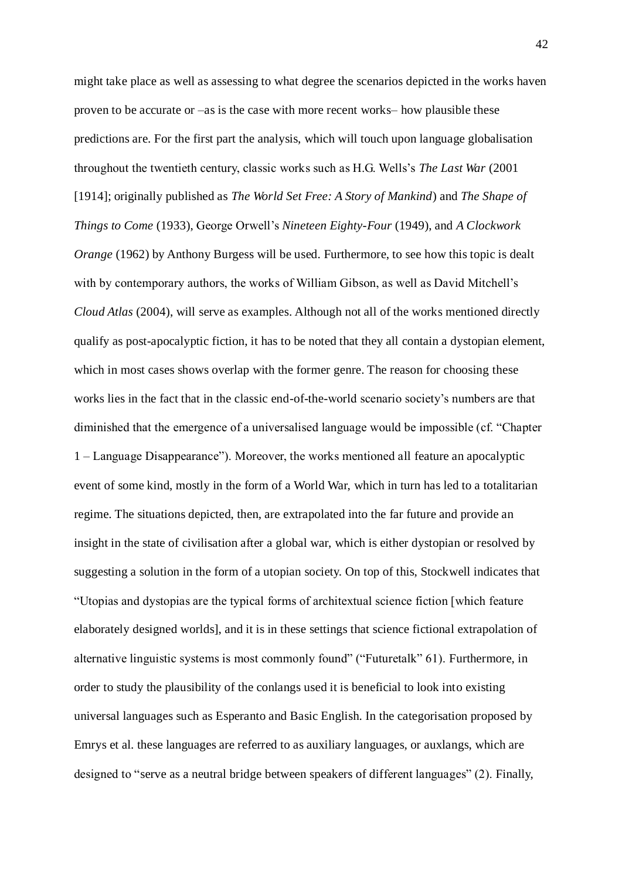might take place as well as assessing to what degree the scenarios depicted in the works haven proven to be accurate or –as is the case with more recent works– how plausible these predictions are. For the first part the analysis, which will touch upon language globalisation throughout the twentieth century, classic works such as H.G. Wells's *The Last War* (2001 [1914]; originally published as *The World Set Free: A Story of Mankind*) and *The Shape of Things to Come* (1933), George Orwell's *Nineteen Eighty-Four* (1949), and *A Clockwork Orange* (1962) by Anthony Burgess will be used. Furthermore, to see how this topic is dealt with by contemporary authors, the works of William Gibson, as well as David Mitchell's *Cloud Atlas* (2004), will serve as examples. Although not all of the works mentioned directly qualify as post-apocalyptic fiction, it has to be noted that they all contain a dystopian element, which in most cases shows overlap with the former genre. The reason for choosing these works lies in the fact that in the classic end-of-the-world scenario society's numbers are that diminished that the emergence of a universalised language would be impossible (cf. "Chapter" 1 – Language Disappearance"). Moreover, the works mentioned all feature an apocalyptic event of some kind, mostly in the form of a World War, which in turn has led to a totalitarian regime. The situations depicted, then, are extrapolated into the far future and provide an insight in the state of civilisation after a global war, which is either dystopian or resolved by suggesting a solution in the form of a utopian society. On top of this, Stockwell indicates that ―Utopias and dystopias are the typical forms of architextual science fiction [which feature elaborately designed worlds], and it is in these settings that science fictional extrapolation of alternative linguistic systems is most commonly found" ("Futuretalk" 61). Furthermore, in order to study the plausibility of the conlangs used it is beneficial to look into existing universal languages such as Esperanto and Basic English. In the categorisation proposed by Emrys et al. these languages are referred to as auxiliary languages, or auxlangs, which are designed to "serve as a neutral bridge between speakers of different languages" (2). Finally,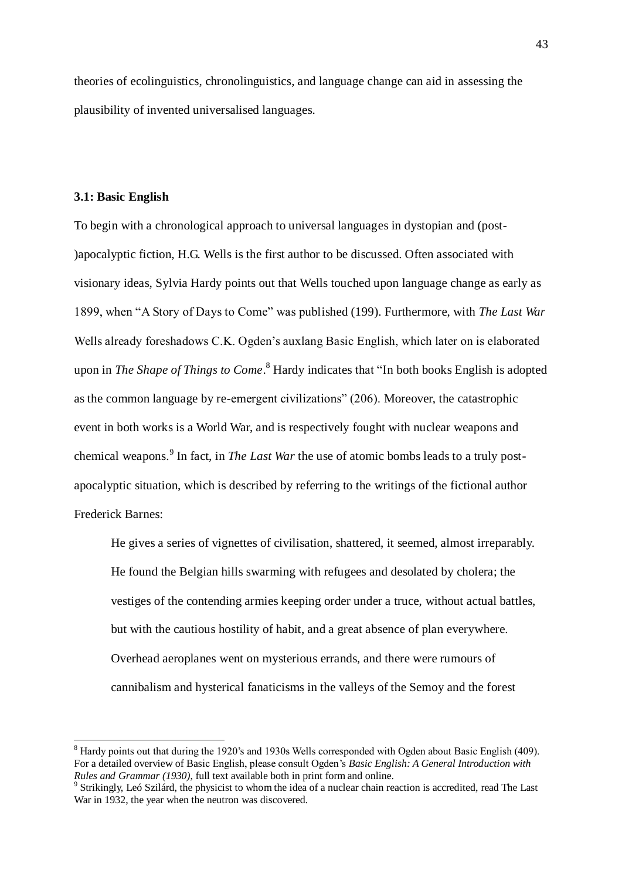theories of ecolinguistics, chronolinguistics, and language change can aid in assessing the plausibility of invented universalised languages.

## **3.1: Basic English**

To begin with a chronological approach to universal languages in dystopian and (post- )apocalyptic fiction, H.G. Wells is the first author to be discussed. Often associated with visionary ideas, Sylvia Hardy points out that Wells touched upon language change as early as 1899, when "A Story of Days to Come" was published (199). Furthermore, with *The Last War* Wells already foreshadows C.K. Ogden's auxlang Basic English, which later on is elaborated upon in *The Shape of Things to Come*.<sup>8</sup> Hardy indicates that "In both books English is adopted as the common language by re-emergent civilizations" (206). Moreover, the catastrophic event in both works is a World War, and is respectively fought with nuclear weapons and chemical weapons.<sup>9</sup> In fact, in *The Last War* the use of atomic bombs leads to a truly postapocalyptic situation, which is described by referring to the writings of the fictional author Frederick Barnes:

He gives a series of vignettes of civilisation, shattered, it seemed, almost irreparably. He found the Belgian hills swarming with refugees and desolated by cholera; the vestiges of the contending armies keeping order under a truce, without actual battles, but with the cautious hostility of habit, and a great absence of plan everywhere. Overhead aeroplanes went on mysterious errands, and there were rumours of cannibalism and hysterical fanaticisms in the valleys of the Semoy and the forest

<sup>8</sup> Hardy points out that during the 1920's and 1930s Wells corresponded with Ogden about Basic English (409). For a detailed overview of Basic English, please consult Ogden's *Basic English: A General Introduction with Rules and Grammar (1930)*, full text available both in print form and online.

<sup>&</sup>lt;sup>9</sup> Strikingly, Leó Szilárd, the physicist to whom the idea of a nuclear chain reaction is accredited, read The Last War in 1932, the year when the neutron was discovered.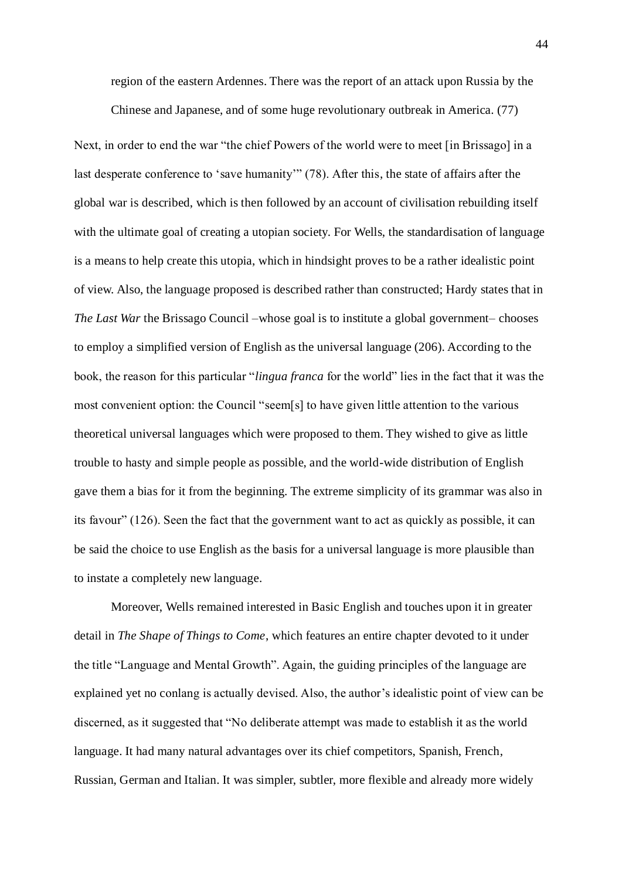region of the eastern Ardennes. There was the report of an attack upon Russia by the

Chinese and Japanese, and of some huge revolutionary outbreak in America. (77)

Next, in order to end the war "the chief Powers of the world were to meet [in Brissago] in a last desperate conference to 'save humanity'" (78). After this, the state of affairs after the global war is described, which is then followed by an account of civilisation rebuilding itself with the ultimate goal of creating a utopian society. For Wells, the standardisation of language is a means to help create this utopia, which in hindsight proves to be a rather idealistic point of view. Also, the language proposed is described rather than constructed; Hardy states that in *The Last War* the Brissago Council –whose goal is to institute a global government– chooses to employ a simplified version of English as the universal language (206). According to the book, the reason for this particular "*lingua franca* for the world" lies in the fact that it was the most convenient option: the Council "seem[s] to have given little attention to the various theoretical universal languages which were proposed to them. They wished to give as little trouble to hasty and simple people as possible, and the world-wide distribution of English gave them a bias for it from the beginning. The extreme simplicity of its grammar was also in its favour" (126). Seen the fact that the government want to act as quickly as possible, it can be said the choice to use English as the basis for a universal language is more plausible than to instate a completely new language.

Moreover, Wells remained interested in Basic English and touches upon it in greater detail in *The Shape of Things to Come*, which features an entire chapter devoted to it under the title "Language and Mental Growth". Again, the guiding principles of the language are explained yet no conlang is actually devised. Also, the author's idealistic point of view can be discerned, as it suggested that "No deliberate attempt was made to establish it as the world language. It had many natural advantages over its chief competitors, Spanish, French, Russian, German and Italian. It was simpler, subtler, more flexible and already more widely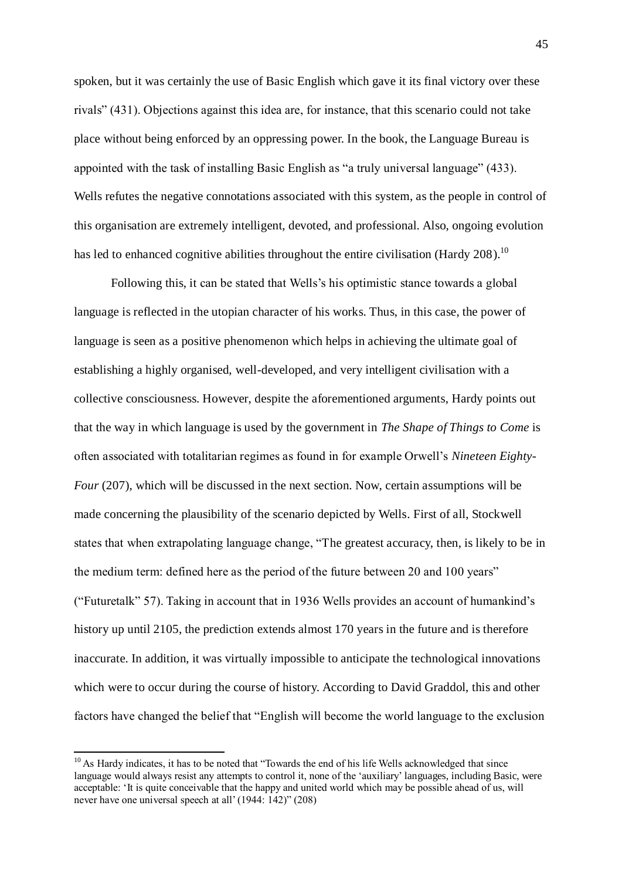spoken, but it was certainly the use of Basic English which gave it its final victory over these rivals" (431). Objections against this idea are, for instance, that this scenario could not take place without being enforced by an oppressing power. In the book, the Language Bureau is appointed with the task of installing Basic English as "a truly universal language" (433). Wells refutes the negative connotations associated with this system, as the people in control of this organisation are extremely intelligent, devoted, and professional. Also, ongoing evolution has led to enhanced cognitive abilities throughout the entire civilisation (Hardy 208).<sup>10</sup>

Following this, it can be stated that Wells's his optimistic stance towards a global language is reflected in the utopian character of his works. Thus, in this case, the power of language is seen as a positive phenomenon which helps in achieving the ultimate goal of establishing a highly organised, well-developed, and very intelligent civilisation with a collective consciousness. However, despite the aforementioned arguments, Hardy points out that the way in which language is used by the government in *The Shape of Things to Come* is often associated with totalitarian regimes as found in for example Orwell's *Nineteen Eighty-Four* (207), which will be discussed in the next section. Now, certain assumptions will be made concerning the plausibility of the scenario depicted by Wells. First of all, Stockwell states that when extrapolating language change, "The greatest accuracy, then, is likely to be in the medium term: defined here as the period of the future between 20 and 100 years" (―Futuretalk‖ 57). Taking in account that in 1936 Wells provides an account of humankind's history up until 2105, the prediction extends almost 170 years in the future and is therefore inaccurate. In addition, it was virtually impossible to anticipate the technological innovations which were to occur during the course of history. According to David Graddol, this and other factors have changed the belief that "English will become the world language to the exclusion

 $\overline{a}$ 

 $10$  As Hardy indicates, it has to be noted that "Towards the end of his life Wells acknowledged that since language would always resist any attempts to control it, none of the 'auxiliary' languages, including Basic, were acceptable: 'It is quite conceivable that the happy and united world which may be possible ahead of us, will never have one universal speech at all'  $(1944: 142)$ "  $(208)$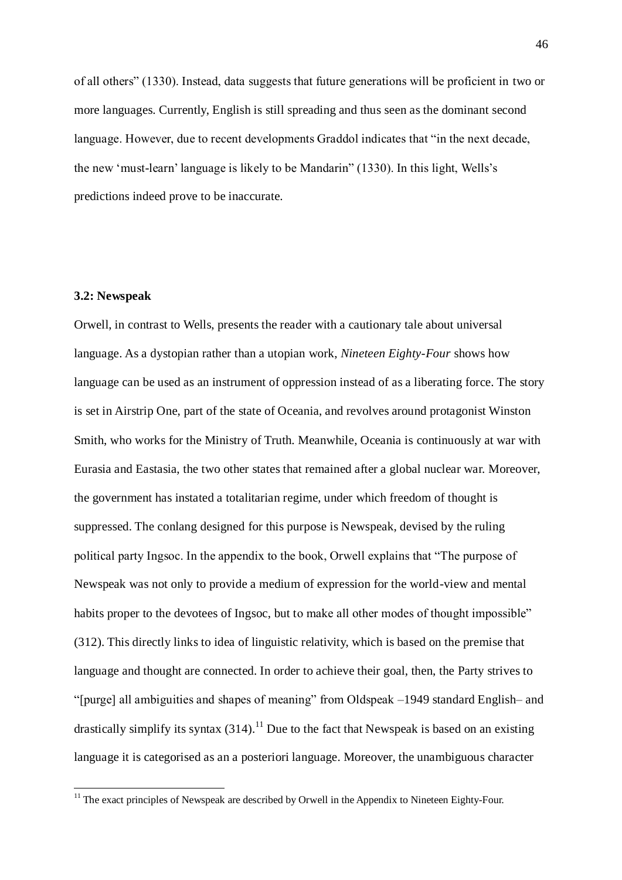of all others" (1330). Instead, data suggests that future generations will be proficient in two or more languages. Currently, English is still spreading and thus seen as the dominant second language. However, due to recent developments Graddol indicates that "in the next decade, the new 'must-learn' language is likely to be Mandarin" (1330). In this light, Wells's predictions indeed prove to be inaccurate.

## **3.2: Newspeak**

Orwell, in contrast to Wells, presents the reader with a cautionary tale about universal language. As a dystopian rather than a utopian work, *Nineteen Eighty-Four* shows how language can be used as an instrument of oppression instead of as a liberating force. The story is set in Airstrip One, part of the state of Oceania, and revolves around protagonist Winston Smith, who works for the Ministry of Truth. Meanwhile, Oceania is continuously at war with Eurasia and Eastasia, the two other states that remained after a global nuclear war. Moreover, the government has instated a totalitarian regime, under which freedom of thought is suppressed. The conlang designed for this purpose is Newspeak, devised by the ruling political party Ingsoc. In the appendix to the book, Orwell explains that "The purpose of Newspeak was not only to provide a medium of expression for the world-view and mental habits proper to the devotees of Ingsoc, but to make all other modes of thought impossible" (312). This directly links to idea of linguistic relativity, which is based on the premise that language and thought are connected. In order to achieve their goal, then, the Party strives to ―[purge] all ambiguities and shapes of meaning‖ from Oldspeak –1949 standard English– and drastically simplify its syntax  $(314)$ .<sup>11</sup> Due to the fact that Newspeak is based on an existing language it is categorised as an a posteriori language. Moreover, the unambiguous character

<sup>&</sup>lt;sup>11</sup> The exact principles of Newspeak are described by Orwell in the Appendix to Nineteen Eighty-Four.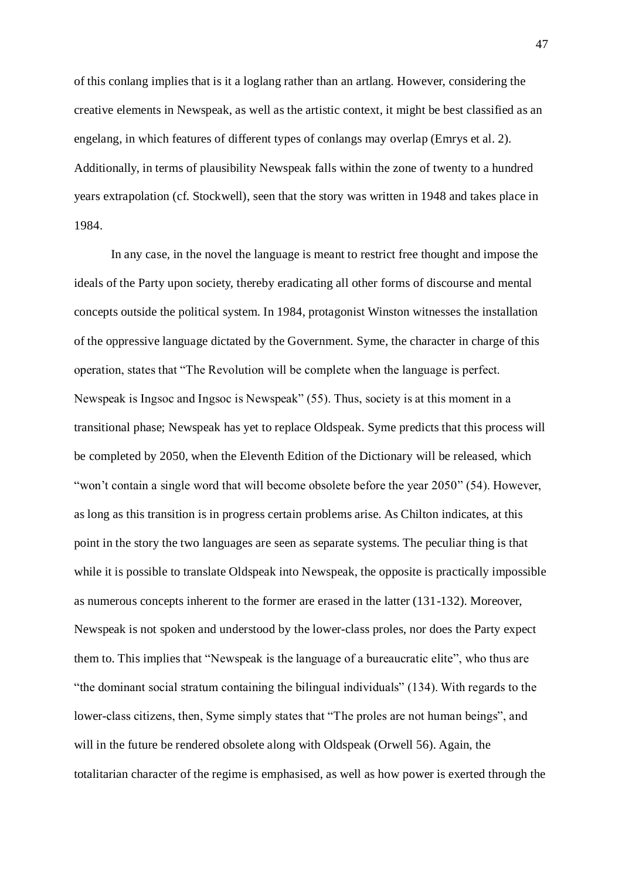of this conlang implies that is it a loglang rather than an artlang. However, considering the creative elements in Newspeak, as well as the artistic context, it might be best classified as an engelang, in which features of different types of conlangs may overlap (Emrys et al. 2). Additionally, in terms of plausibility Newspeak falls within the zone of twenty to a hundred years extrapolation (cf. Stockwell), seen that the story was written in 1948 and takes place in 1984.

In any case, in the novel the language is meant to restrict free thought and impose the ideals of the Party upon society, thereby eradicating all other forms of discourse and mental concepts outside the political system. In 1984, protagonist Winston witnesses the installation of the oppressive language dictated by the Government. Syme, the character in charge of this operation, states that ―The Revolution will be complete when the language is perfect. Newspeak is Ingsoc and Ingsoc is Newspeak" (55). Thus, society is at this moment in a transitional phase; Newspeak has yet to replace Oldspeak. Syme predicts that this process will be completed by 2050, when the Eleventh Edition of the Dictionary will be released, which "won't contain a single word that will become obsolete before the year 2050" (54). However, as long as this transition is in progress certain problems arise. As Chilton indicates, at this point in the story the two languages are seen as separate systems. The peculiar thing is that while it is possible to translate Oldspeak into Newspeak, the opposite is practically impossible as numerous concepts inherent to the former are erased in the latter (131-132). Moreover, Newspeak is not spoken and understood by the lower-class proles, nor does the Party expect them to. This implies that "Newspeak is the language of a bureaucratic elite", who thus are "the dominant social stratum containing the bilingual individuals" (134). With regards to the lower-class citizens, then, Syme simply states that "The proles are not human beings", and will in the future be rendered obsolete along with Oldspeak (Orwell 56). Again, the totalitarian character of the regime is emphasised, as well as how power is exerted through the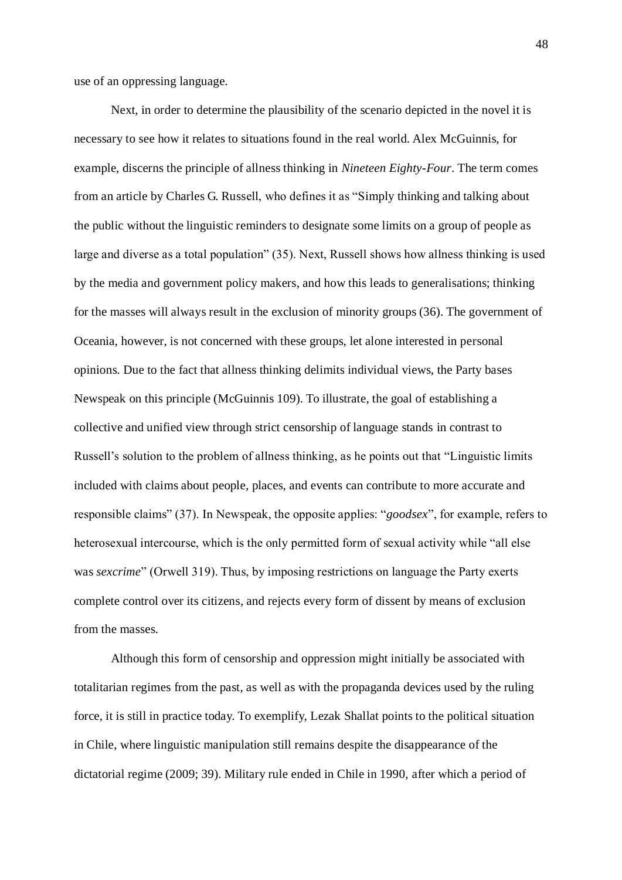use of an oppressing language.

Next, in order to determine the plausibility of the scenario depicted in the novel it is necessary to see how it relates to situations found in the real world. Alex McGuinnis, for example, discerns the principle of allness thinking in *Nineteen Eighty-Four*. The term comes from an article by Charles G. Russell, who defines it as "Simply thinking and talking about the public without the linguistic reminders to designate some limits on a group of people as large and diverse as a total population" (35). Next, Russell shows how allness thinking is used by the media and government policy makers, and how this leads to generalisations; thinking for the masses will always result in the exclusion of minority groups (36). The government of Oceania, however, is not concerned with these groups, let alone interested in personal opinions. Due to the fact that allness thinking delimits individual views, the Party bases Newspeak on this principle (McGuinnis 109). To illustrate, the goal of establishing a collective and unified view through strict censorship of language stands in contrast to Russell's solution to the problem of allness thinking, as he points out that "Linguistic limits" included with claims about people, places, and events can contribute to more accurate and responsible claims" (37). In Newspeak, the opposite applies: "*goodsex*", for example, refers to heterosexual intercourse, which is the only permitted form of sexual activity while "all else was *sexcrime*" (Orwell 319). Thus, by imposing restrictions on language the Party exerts complete control over its citizens, and rejects every form of dissent by means of exclusion from the masses.

Although this form of censorship and oppression might initially be associated with totalitarian regimes from the past, as well as with the propaganda devices used by the ruling force, it is still in practice today. To exemplify, Lezak Shallat points to the political situation in Chile, where linguistic manipulation still remains despite the disappearance of the dictatorial regime (2009; 39). Military rule ended in Chile in 1990, after which a period of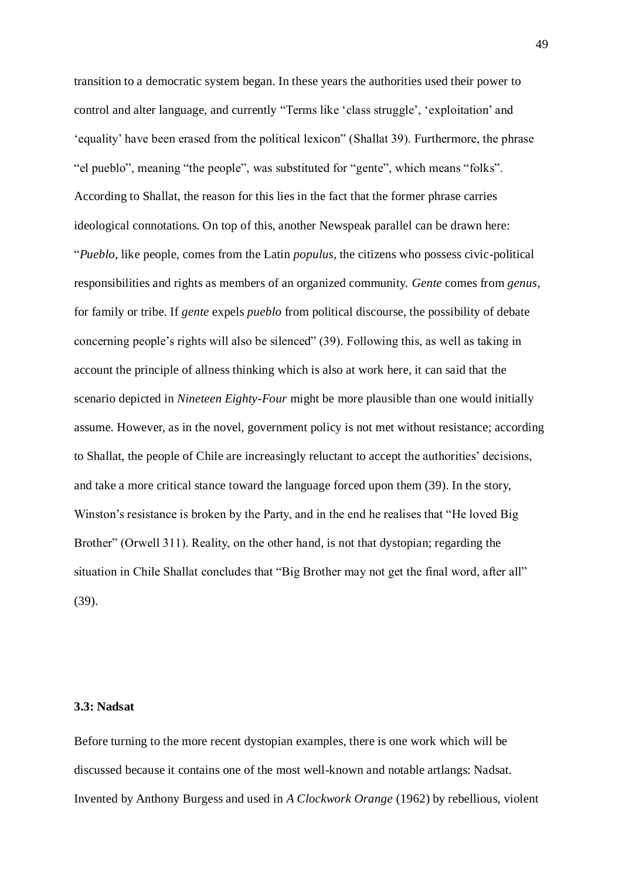transition to a democratic system began. In these years the authorities used their power to control and alter language, and currently "Terms like 'class struggle', 'exploitation' and ‗equality' have been erased from the political lexicon‖ (Shallat 39). Furthermore, the phrase "el pueblo", meaning "the people", was substituted for "gente", which means "folks". According to Shallat, the reason for this lies in the fact that the former phrase carries ideological connotations. On top of this, another Newspeak parallel can be drawn here: ―*Pueblo*, like people, comes from the Latin *populus*, the citizens who possess civic-political responsibilities and rights as members of an organized community. *Gente* comes from *genus*, for family or tribe. If *gente* expels *pueblo* from political discourse, the possibility of debate concerning people's rights will also be silenced" (39). Following this, as well as taking in account the principle of allness thinking which is also at work here, it can said that the scenario depicted in *Nineteen Eighty-Four* might be more plausible than one would initially assume. However, as in the novel, government policy is not met without resistance; according to Shallat, the people of Chile are increasingly reluctant to accept the authorities' decisions, and take a more critical stance toward the language forced upon them (39). In the story, Winston's resistance is broken by the Party, and in the end he realises that "He loved Big" Brother" (Orwell 311). Reality, on the other hand, is not that dystopian; regarding the situation in Chile Shallat concludes that "Big Brother may not get the final word, after all" (39).

## **3.3: Nadsat**

Before turning to the more recent dystopian examples, there is one work which will be discussed because it contains one of the most well-known and notable artlangs: Nadsat. Invented by Anthony Burgess and used in *A Clockwork Orange* (1962) by rebellious, violent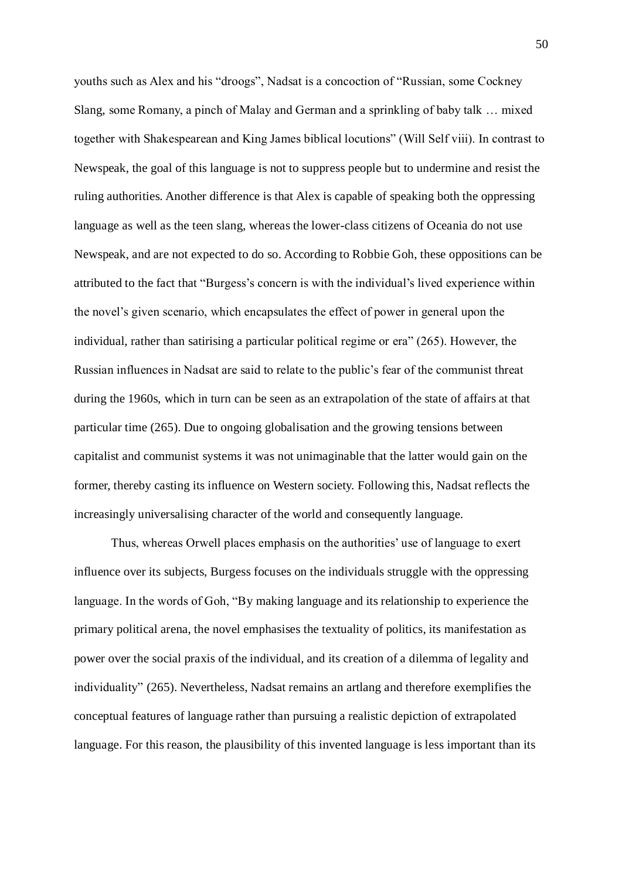youths such as Alex and his "droogs", Nadsat is a concoction of "Russian, some Cockney Slang, some Romany, a pinch of Malay and German and a sprinkling of baby talk … mixed together with Shakespearean and King James biblical locutions" (Will Self viii). In contrast to Newspeak, the goal of this language is not to suppress people but to undermine and resist the ruling authorities. Another difference is that Alex is capable of speaking both the oppressing language as well as the teen slang, whereas the lower-class citizens of Oceania do not use Newspeak, and are not expected to do so. According to Robbie Goh, these oppositions can be attributed to the fact that "Burgess's concern is with the individual's lived experience within the novel's given scenario, which encapsulates the effect of power in general upon the individual, rather than satirising a particular political regime or era"  $(265)$ . However, the Russian influences in Nadsat are said to relate to the public's fear of the communist threat during the 1960s, which in turn can be seen as an extrapolation of the state of affairs at that particular time (265). Due to ongoing globalisation and the growing tensions between capitalist and communist systems it was not unimaginable that the latter would gain on the former, thereby casting its influence on Western society. Following this, Nadsat reflects the increasingly universalising character of the world and consequently language.

Thus, whereas Orwell places emphasis on the authorities' use of language to exert influence over its subjects, Burgess focuses on the individuals struggle with the oppressing language. In the words of Goh, "By making language and its relationship to experience the primary political arena, the novel emphasises the textuality of politics, its manifestation as power over the social praxis of the individual, and its creation of a dilemma of legality and individuality" (265). Nevertheless, Nadsat remains an artlang and therefore exemplifies the conceptual features of language rather than pursuing a realistic depiction of extrapolated language. For this reason, the plausibility of this invented language is less important than its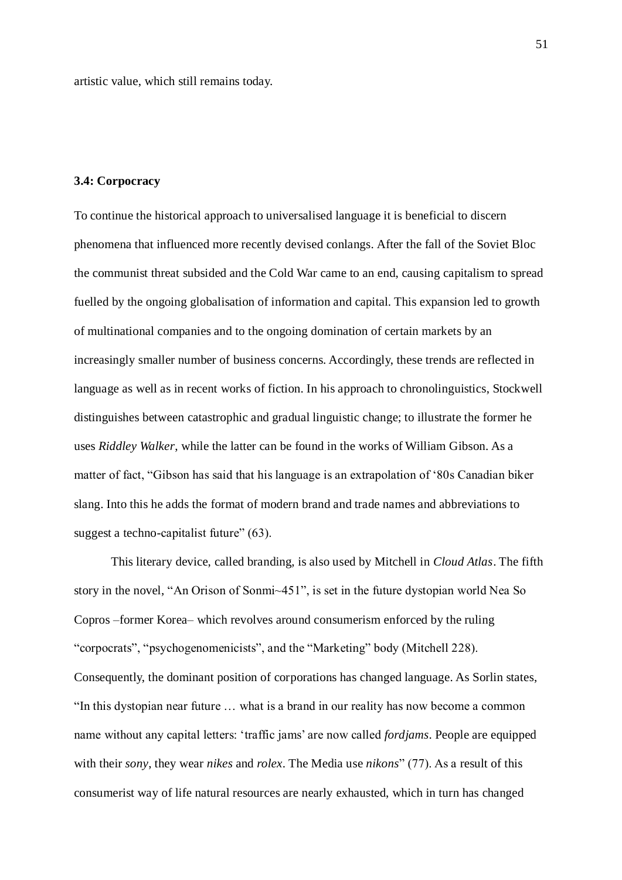artistic value, which still remains today.

# **3.4: Corpocracy**

To continue the historical approach to universalised language it is beneficial to discern phenomena that influenced more recently devised conlangs. After the fall of the Soviet Bloc the communist threat subsided and the Cold War came to an end, causing capitalism to spread fuelled by the ongoing globalisation of information and capital. This expansion led to growth of multinational companies and to the ongoing domination of certain markets by an increasingly smaller number of business concerns. Accordingly, these trends are reflected in language as well as in recent works of fiction. In his approach to chronolinguistics, Stockwell distinguishes between catastrophic and gradual linguistic change; to illustrate the former he uses *Riddley Walker*, while the latter can be found in the works of William Gibson. As a matter of fact, "Gibson has said that his language is an extrapolation of '80s Canadian biker slang. Into this he adds the format of modern brand and trade names and abbreviations to suggest a techno-capitalist future"  $(63)$ .

This literary device, called branding, is also used by Mitchell in *Cloud Atlas*. The fifth story in the novel, "An Orison of Sonmi~451", is set in the future dystopian world Nea So Copros –former Korea– which revolves around consumerism enforced by the ruling "corpocrats", "psychogenomenicists", and the "Marketing" body (Mitchell 228). Consequently, the dominant position of corporations has changed language. As Sorlin states, "In this dystopian near future ... what is a brand in our reality has now become a common name without any capital letters: ‗traffic jams' are now called *fordjams*. People are equipped with their *sony*, they wear *nikes* and *rolex*. The Media use *nikons*" (77). As a result of this consumerist way of life natural resources are nearly exhausted, which in turn has changed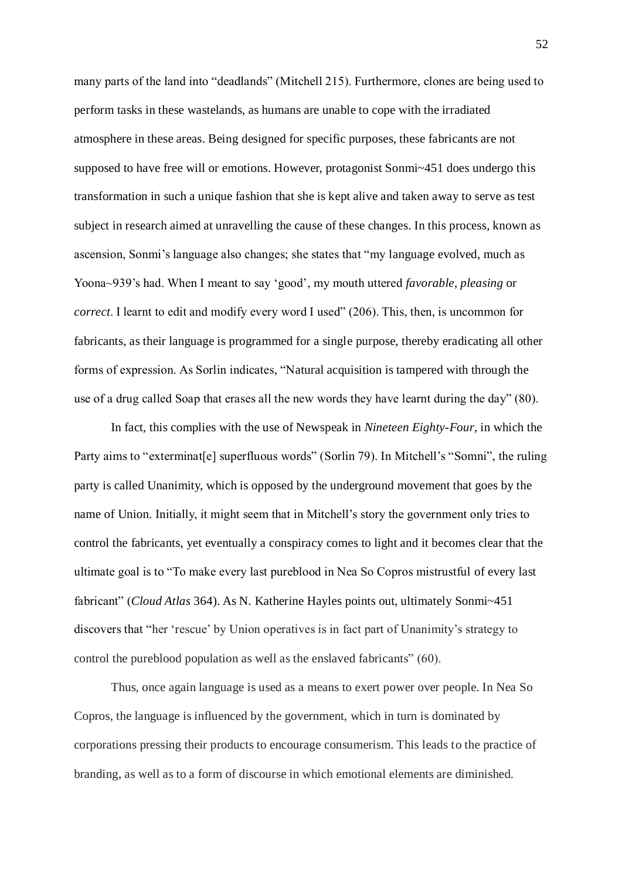many parts of the land into "deadlands" (Mitchell 215). Furthermore, clones are being used to perform tasks in these wastelands, as humans are unable to cope with the irradiated atmosphere in these areas. Being designed for specific purposes, these fabricants are not supposed to have free will or emotions. However, protagonist Sonmi~451 does undergo this transformation in such a unique fashion that she is kept alive and taken away to serve as test subject in research aimed at unravelling the cause of these changes. In this process, known as ascension, Sonmi's language also changes; she states that "my language evolved, much as Yoona~939's had. When I meant to say ‗good', my mouth uttered *favorable*, *pleasing* or *correct*. I learnt to edit and modify every word I used" (206). This, then, is uncommon for fabricants, as their language is programmed for a single purpose, thereby eradicating all other forms of expression. As Sorlin indicates, "Natural acquisition is tampered with through the use of a drug called Soap that erases all the new words they have learnt during the day"  $(80)$ .

In fact, this complies with the use of Newspeak in *Nineteen Eighty-Four*, in which the Party aims to "exterminat[e] superfluous words" (Sorlin 79). In Mitchell's "Somni", the ruling party is called Unanimity, which is opposed by the underground movement that goes by the name of Union. Initially, it might seem that in Mitchell's story the government only tries to control the fabricants, yet eventually a conspiracy comes to light and it becomes clear that the ultimate goal is to "To make every last pureblood in Nea So Copros mistrustful of every last fabricant" *(Cloud Atlas* 364). As N. Katherine Hayles points out, ultimately Sonmi~451 discovers that "her 'rescue' by Union operatives is in fact part of Unanimity's strategy to control the pureblood population as well as the enslaved fabricants"  $(60)$ .

Thus, once again language is used as a means to exert power over people. In Nea So Copros, the language is influenced by the government, which in turn is dominated by corporations pressing their products to encourage consumerism. This leads to the practice of branding, as well as to a form of discourse in which emotional elements are diminished.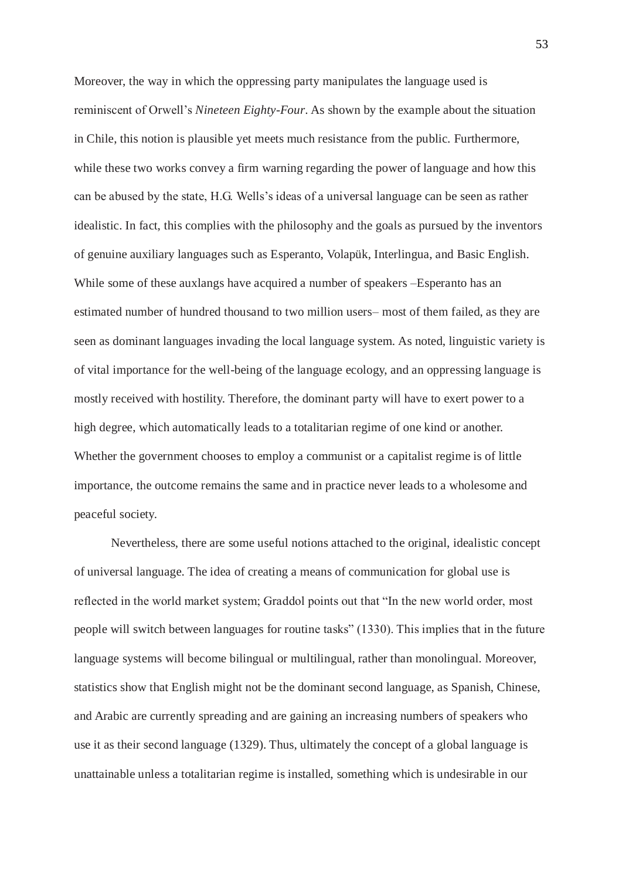Moreover, the way in which the oppressing party manipulates the language used is reminiscent of Orwell's *Nineteen Eighty-Four*. As shown by the example about the situation in Chile, this notion is plausible yet meets much resistance from the public. Furthermore, while these two works convey a firm warning regarding the power of language and how this can be abused by the state, H.G. Wells's ideas of a universal language can be seen as rather idealistic. In fact, this complies with the philosophy and the goals as pursued by the inventors of genuine auxiliary languages such as Esperanto, Volapük, Interlingua, and Basic English. While some of these auxlangs have acquired a number of speakers –Esperanto has an estimated number of hundred thousand to two million users– most of them failed, as they are seen as dominant languages invading the local language system. As noted, linguistic variety is of vital importance for the well-being of the language ecology, and an oppressing language is mostly received with hostility. Therefore, the dominant party will have to exert power to a high degree, which automatically leads to a totalitarian regime of one kind or another. Whether the government chooses to employ a communist or a capitalist regime is of little importance, the outcome remains the same and in practice never leads to a wholesome and peaceful society.

Nevertheless, there are some useful notions attached to the original, idealistic concept of universal language. The idea of creating a means of communication for global use is reflected in the world market system; Graddol points out that "In the new world order, most people will switch between languages for routine tasks‖ (1330). This implies that in the future language systems will become bilingual or multilingual, rather than monolingual. Moreover, statistics show that English might not be the dominant second language, as Spanish, Chinese, and Arabic are currently spreading and are gaining an increasing numbers of speakers who use it as their second language (1329). Thus, ultimately the concept of a global language is unattainable unless a totalitarian regime is installed, something which is undesirable in our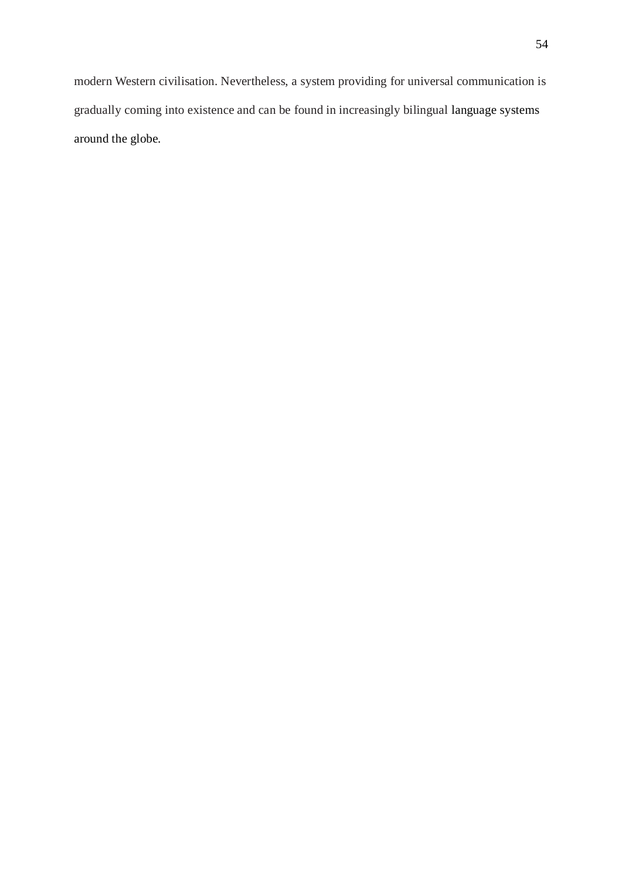modern Western civilisation. Nevertheless, a system providing for universal communication is gradually coming into existence and can be found in increasingly bilingual language systems around the globe.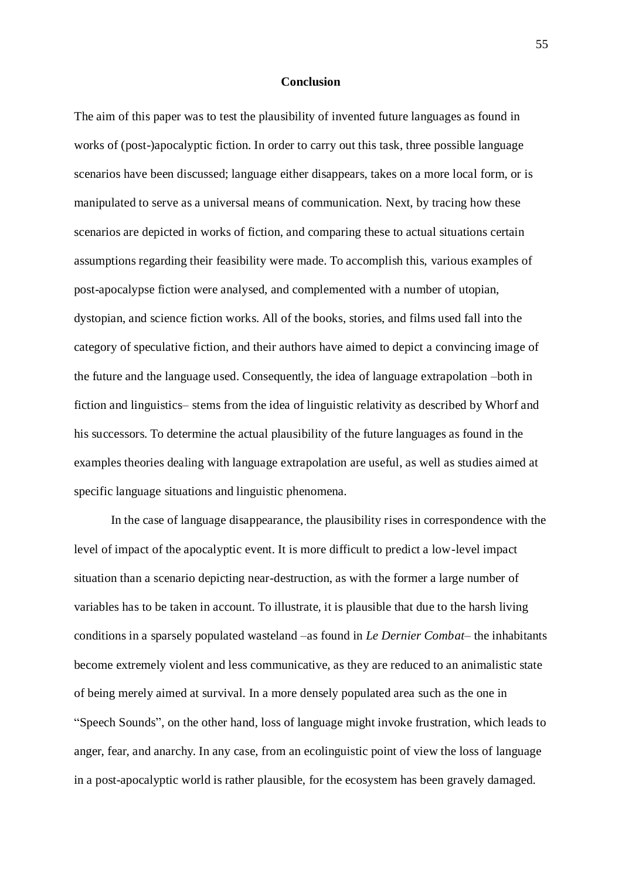#### **Conclusion**

The aim of this paper was to test the plausibility of invented future languages as found in works of (post-)apocalyptic fiction. In order to carry out this task, three possible language scenarios have been discussed; language either disappears, takes on a more local form, or is manipulated to serve as a universal means of communication. Next, by tracing how these scenarios are depicted in works of fiction, and comparing these to actual situations certain assumptions regarding their feasibility were made. To accomplish this, various examples of post-apocalypse fiction were analysed, and complemented with a number of utopian, dystopian, and science fiction works. All of the books, stories, and films used fall into the category of speculative fiction, and their authors have aimed to depict a convincing image of the future and the language used. Consequently, the idea of language extrapolation –both in fiction and linguistics– stems from the idea of linguistic relativity as described by Whorf and his successors. To determine the actual plausibility of the future languages as found in the examples theories dealing with language extrapolation are useful, as well as studies aimed at specific language situations and linguistic phenomena.

In the case of language disappearance, the plausibility rises in correspondence with the level of impact of the apocalyptic event. It is more difficult to predict a low-level impact situation than a scenario depicting near-destruction, as with the former a large number of variables has to be taken in account. To illustrate, it is plausible that due to the harsh living conditions in a sparsely populated wasteland –as found in *Le Dernier Combat–* the inhabitants become extremely violent and less communicative, as they are reduced to an animalistic state of being merely aimed at survival. In a more densely populated area such as the one in ―Speech Sounds‖, on the other hand, loss of language might invoke frustration, which leads to anger, fear, and anarchy. In any case, from an ecolinguistic point of view the loss of language in a post-apocalyptic world is rather plausible, for the ecosystem has been gravely damaged.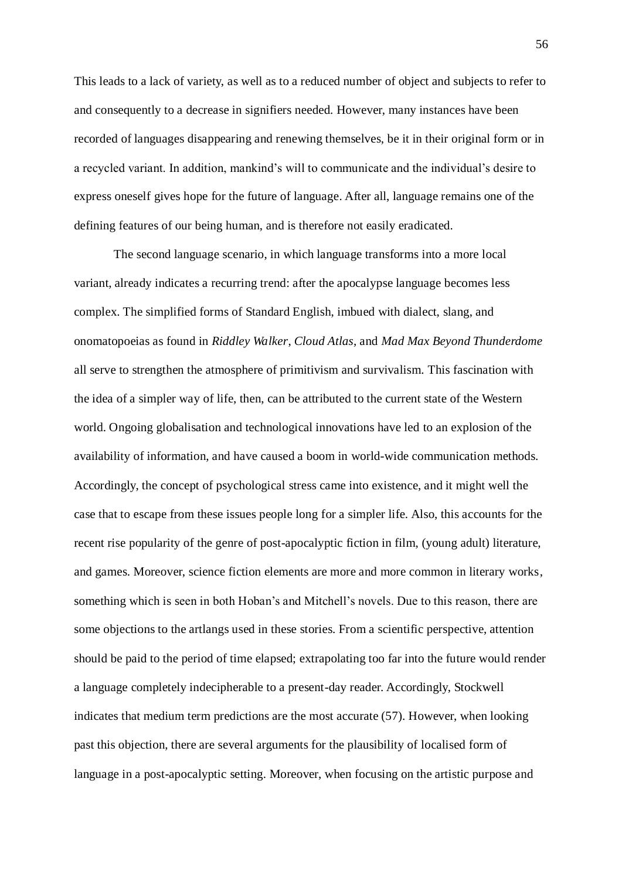This leads to a lack of variety, as well as to a reduced number of object and subjects to refer to and consequently to a decrease in signifiers needed. However, many instances have been recorded of languages disappearing and renewing themselves, be it in their original form or in a recycled variant. In addition, mankind's will to communicate and the individual's desire to express oneself gives hope for the future of language. After all, language remains one of the defining features of our being human, and is therefore not easily eradicated.

The second language scenario, in which language transforms into a more local variant, already indicates a recurring trend: after the apocalypse language becomes less complex. The simplified forms of Standard English, imbued with dialect, slang, and onomatopoeias as found in *Riddley Walker*, *Cloud Atlas*, and *Mad Max Beyond Thunderdome* all serve to strengthen the atmosphere of primitivism and survivalism. This fascination with the idea of a simpler way of life, then, can be attributed to the current state of the Western world. Ongoing globalisation and technological innovations have led to an explosion of the availability of information, and have caused a boom in world-wide communication methods. Accordingly, the concept of psychological stress came into existence, and it might well the case that to escape from these issues people long for a simpler life. Also, this accounts for the recent rise popularity of the genre of post-apocalyptic fiction in film, (young adult) literature, and games. Moreover, science fiction elements are more and more common in literary works, something which is seen in both Hoban's and Mitchell's novels. Due to this reason, there are some objections to the artlangs used in these stories. From a scientific perspective, attention should be paid to the period of time elapsed; extrapolating too far into the future would render a language completely indecipherable to a present-day reader. Accordingly, Stockwell indicates that medium term predictions are the most accurate (57). However, when looking past this objection, there are several arguments for the plausibility of localised form of language in a post-apocalyptic setting. Moreover, when focusing on the artistic purpose and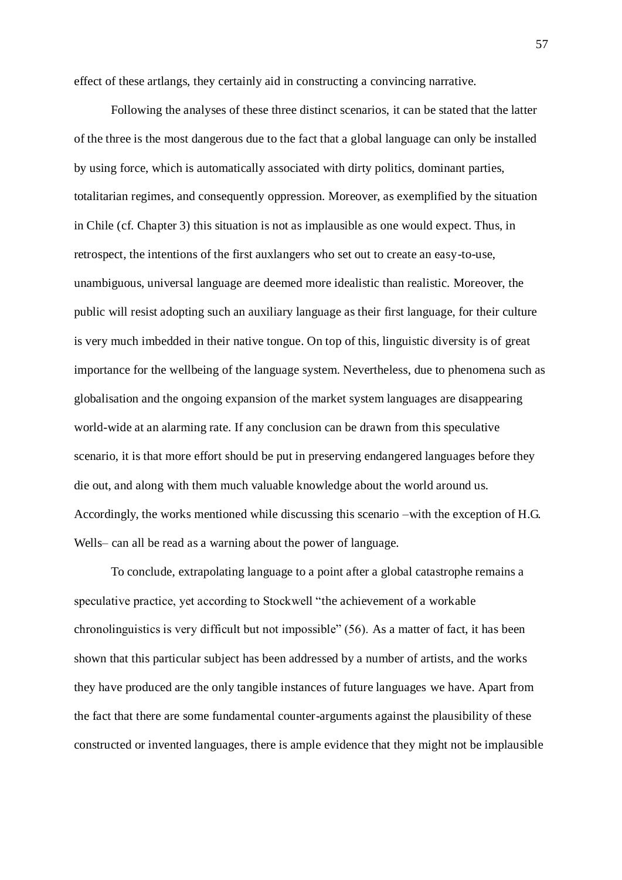effect of these artlangs, they certainly aid in constructing a convincing narrative.

Following the analyses of these three distinct scenarios, it can be stated that the latter of the three is the most dangerous due to the fact that a global language can only be installed by using force, which is automatically associated with dirty politics, dominant parties, totalitarian regimes, and consequently oppression. Moreover, as exemplified by the situation in Chile (cf. Chapter 3) this situation is not as implausible as one would expect. Thus, in retrospect, the intentions of the first auxlangers who set out to create an easy-to-use, unambiguous, universal language are deemed more idealistic than realistic. Moreover, the public will resist adopting such an auxiliary language as their first language, for their culture is very much imbedded in their native tongue. On top of this, linguistic diversity is of great importance for the wellbeing of the language system. Nevertheless, due to phenomena such as globalisation and the ongoing expansion of the market system languages are disappearing world-wide at an alarming rate. If any conclusion can be drawn from this speculative scenario, it is that more effort should be put in preserving endangered languages before they die out, and along with them much valuable knowledge about the world around us. Accordingly, the works mentioned while discussing this scenario –with the exception of H.G. Wells– can all be read as a warning about the power of language.

To conclude, extrapolating language to a point after a global catastrophe remains a speculative practice, yet according to Stockwell "the achievement of a workable" chronolinguistics is very difficult but not impossible"  $(56)$ . As a matter of fact, it has been shown that this particular subject has been addressed by a number of artists, and the works they have produced are the only tangible instances of future languages we have. Apart from the fact that there are some fundamental counter-arguments against the plausibility of these constructed or invented languages, there is ample evidence that they might not be implausible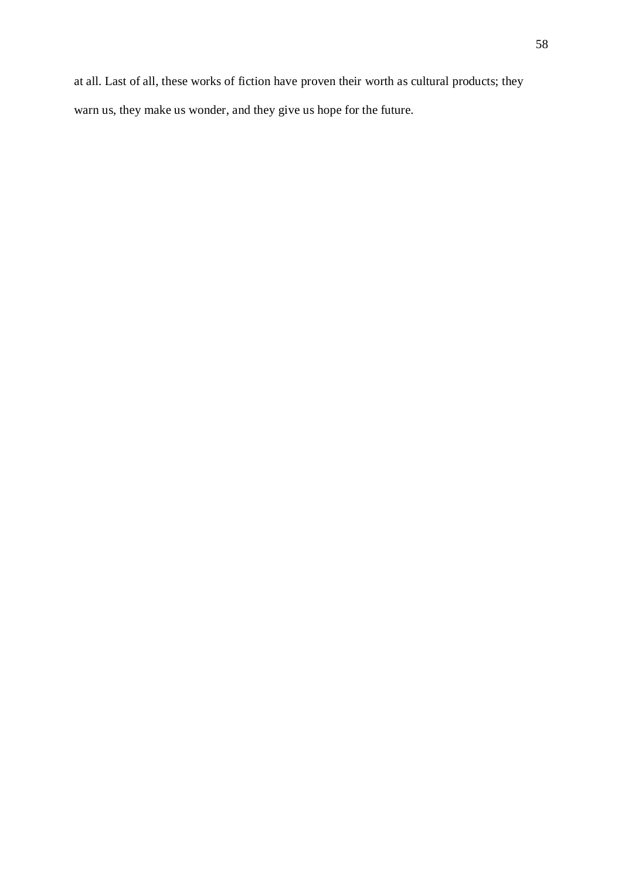at all. Last of all, these works of fiction have proven their worth as cultural products; they warn us, they make us wonder, and they give us hope for the future.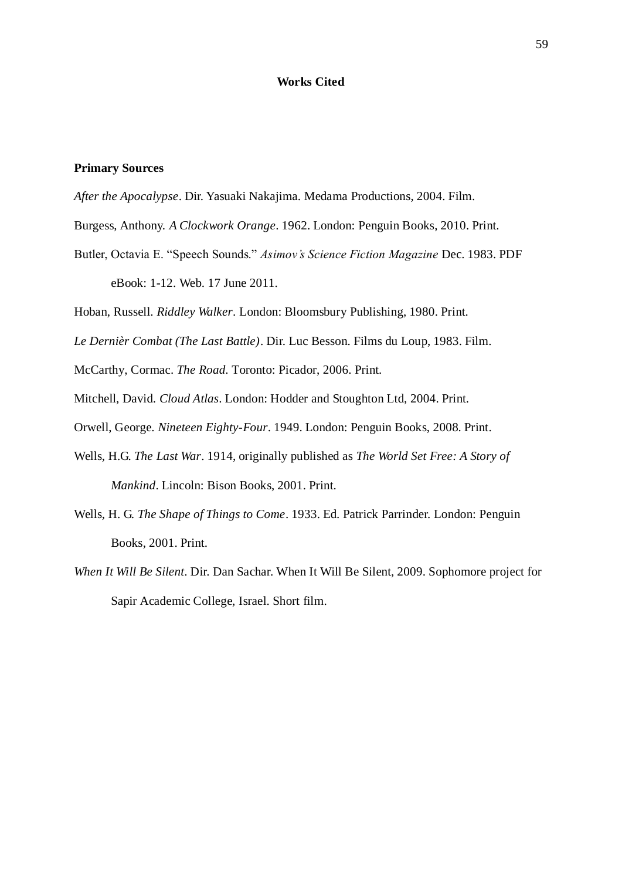## **Works Cited**

# **Primary Sources**

- *After the Apocalypse*. Dir. Yasuaki Nakajima. Medama Productions, 2004. Film.
- Burgess, Anthony. *A Clockwork Orange*. 1962. London: Penguin Books, 2010. Print.
- Butler, Octavia E. "Speech Sounds." *Asimov's Science Fiction Magazine* Dec. 1983. PDF eBook: 1-12. Web. 17 June 2011.
- Hoban, Russell. *Riddley Walker*. London: Bloomsbury Publishing, 1980. Print.
- *Le Dernièr Combat (The Last Battle)*. Dir. Luc Besson. Films du Loup, 1983. Film.
- McCarthy, Cormac. *The Road.* Toronto: Picador, 2006. Print.
- Mitchell, David. *Cloud Atlas*. London: Hodder and Stoughton Ltd, 2004. Print.
- Orwell, George. *Nineteen Eighty-Four*. 1949. London: Penguin Books, 2008. Print.
- Wells, H.G. *The Last War*. 1914, originally published as *The World Set Free: A Story of Mankind*. Lincoln: Bison Books, 2001. Print.
- Wells, H. G. *The Shape of Things to Come*. 1933. Ed. Patrick Parrinder. London: Penguin Books, 2001. Print.
- *When It Will Be Silent*. Dir. Dan Sachar. When It Will Be Silent, 2009. Sophomore project for Sapir Academic College, Israel. Short film.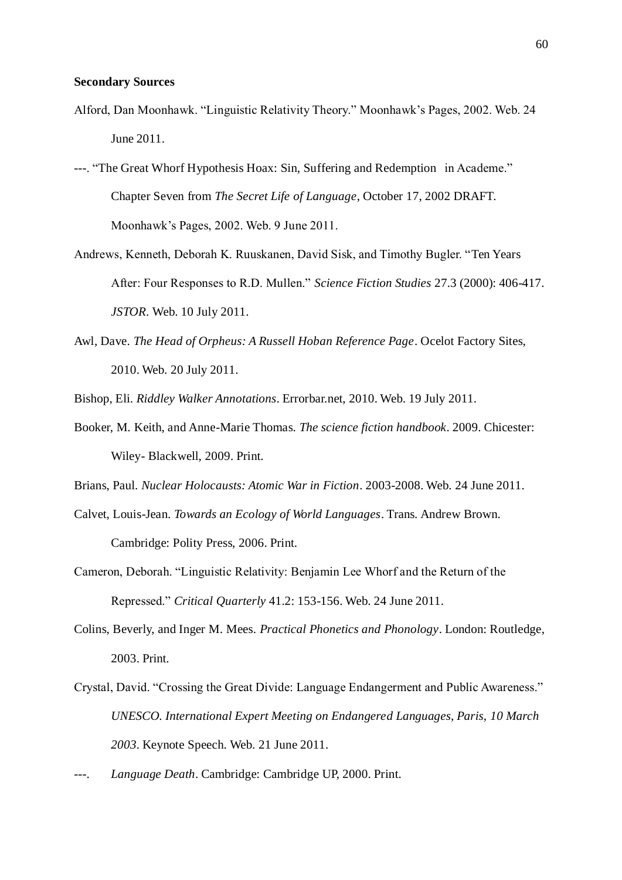#### **Secondary Sources**

- Alford, Dan Moonhawk. "Linguistic Relativity Theory." Moonhawk's Pages, 2002. Web. 24 June 2011.
- ---. "The Great Whorf Hypothesis Hoax: Sin, Suffering and Redemption in Academe." Chapter Seven from *The Secret Life of Language*, October 17, 2002 DRAFT. Moonhawk's Pages, 2002. Web. 9 June 2011.
- Andrews, Kenneth, Deborah K. Ruuskanen, David Sisk, and Timothy Bugler. "Ten Years" After: Four Responses to R.D. Mullen." *Science Fiction Studies* 27.3 (2000): 406-417. *JSTOR*. Web. 10 July 2011.
- Awl, Dave. *The Head of Orpheus: A Russell Hoban Reference Page*. Ocelot Factory Sites, 2010. Web. 20 July 2011.

Bishop, Eli. *Riddley Walker Annotations*. Errorbar.net, 2010. Web. 19 July 2011.

Booker, M. Keith, and Anne-Marie Thomas. *The science fiction handbook*. 2009. Chicester: Wiley- Blackwell, 2009. Print.

Brians, Paul. *Nuclear Holocausts: Atomic War in Fiction*. 2003-2008. Web. 24 June 2011.

- Calvet, Louis-Jean. *Towards an Ecology of World Languages*. Trans. Andrew Brown. Cambridge: Polity Press, 2006. Print.
- Cameron, Deborah. "Linguistic Relativity: Benjamin Lee Whorf and the Return of the Repressed.‖ *Critical Quarterly* 41.2: 153-156. Web. 24 June 2011.
- Colins, Beverly, and Inger M. Mees. *Practical Phonetics and Phonology*. London: Routledge, 2003. Print.
- Crystal, David. "Crossing the Great Divide: Language Endangerment and Public Awareness." *UNESCO. International Expert Meeting on Endangered Languages, Paris, 10 March 2003*. Keynote Speech. Web. 21 June 2011.
- ---. *Language Death*. Cambridge: Cambridge UP, 2000. Print.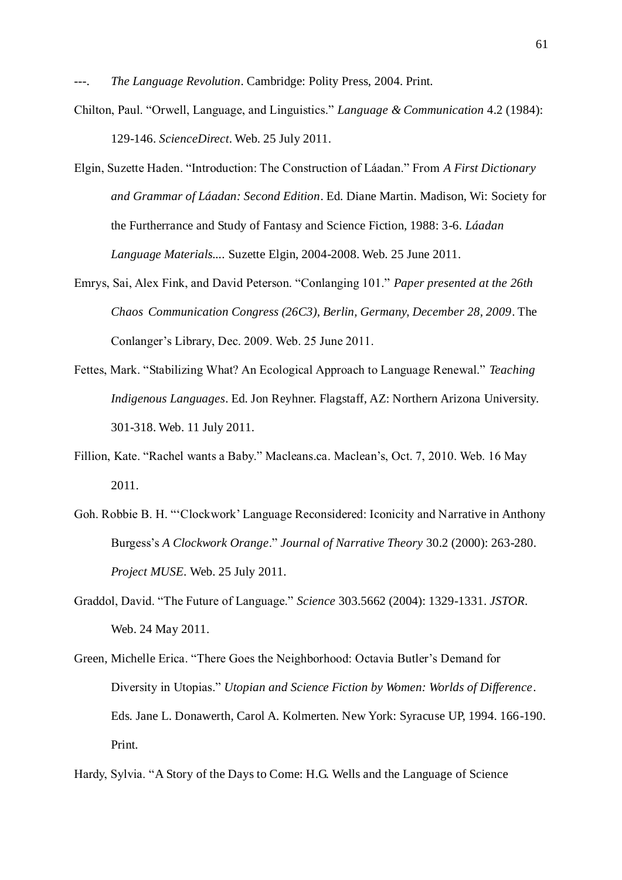The Language Revolution. Cambridge: Polity Press, 2004. Print.

- Chilton, Paul. "Orwell, Language, and Linguistics." *Language & Communication* 4.2 (1984): 129-146. *ScienceDirect*. Web. 25 July 2011.
- Elgin, Suzette Haden. "Introduction: The Construction of Láadan." From *A First Dictionary and Grammar of Láadan: Second Edition*. Ed. Diane Martin. Madison, Wi: Society for the Furtherrance and Study of Fantasy and Science Fiction, 1988: 3-6. *Láadan Language Materials....* Suzette Elgin, 2004-2008. Web. 25 June 2011.
- Emrys, Sai, Alex Fink, and David Peterson. "Conlanging 101." Paper presented at the 26th *Chaos Communication Congress (26C3), Berlin, Germany, December 28, 2009*. The Conlanger's Library, Dec. 2009. Web. 25 June 2011.
- Fettes, Mark. "Stabilizing What? An Ecological Approach to Language Renewal." *Teaching Indigenous Languages*. Ed. Jon Reyhner. Flagstaff, AZ: Northern Arizona University. 301-318. Web. 11 July 2011.
- Fillion, Kate. "Rachel wants a Baby." Macleans.ca. Maclean's, Oct. 7, 2010. Web. 16 May 2011.
- Goh. Robbie B. H. "'Clockwork' Language Reconsidered: Iconicity and Narrative in Anthony Burgess's *A Clockwork Orange*.‖ *Journal of Narrative Theory* 30.2 (2000): 263-280. *Project MUSE*. Web. 25 July 2011.
- Graddol, David. ―The Future of Language.‖ *Science* 303.5662 (2004): 1329-1331. *JSTOR*. Web. 24 May 2011.
- Green, Michelle Erica. "There Goes the Neighborhood: Octavia Butler's Demand for Diversity in Utopias." *Utopian and Science Fiction by Women: Worlds of Difference.* Eds. Jane L. Donawerth, Carol A. Kolmerten. New York: Syracuse UP, 1994. 166-190. Print.

Hardy, Sylvia. "A Story of the Days to Come: H.G. Wells and the Language of Science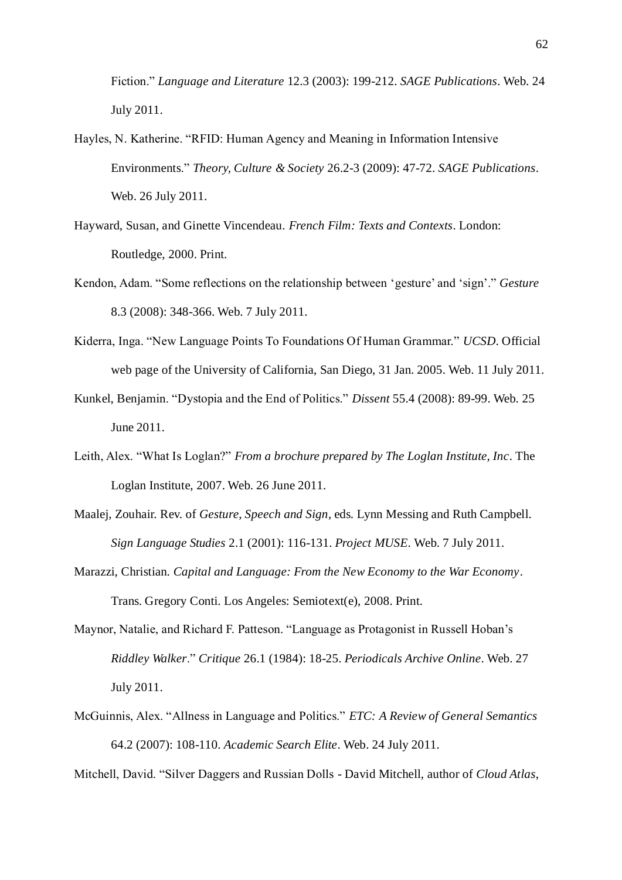Fiction.‖ *Language and Literature* 12.3 (2003): 199-212. *SAGE Publications*. Web. 24 July 2011.

- Hayles, N. Katherine. "RFID: Human Agency and Meaning in Information Intensive Environments.‖ *Theory, Culture & Society* 26.2-3 (2009): 47-72. *SAGE Publications*. Web. 26 July 2011.
- Hayward, Susan, and Ginette Vincendeau. *French Film: Texts and Contexts*. London: Routledge, 2000. Print.
- Kendon, Adam. "Some reflections on the relationship between 'gesture' and 'sign'." *Gesture* 8.3 (2008): 348-366. Web. 7 July 2011.
- Kiderra, Inga. "New Language Points To Foundations Of Human Grammar." *UCSD*. Official web page of the University of California, San Diego, 31 Jan. 2005. Web. 11 July 2011.
- Kunkel, Benjamin. "Dystopia and the End of Politics." *Dissent* 55.4 (2008): 89-99. Web. 25 June 2011.
- Leith, Alex. "What Is Loglan?" *From a brochure prepared by The Loglan Institute, Inc.* The Loglan Institute, 2007. Web. 26 June 2011.
- Maalej, Zouhair. Rev. of *Gesture, Speech and Sign*, eds. Lynn Messing and Ruth Campbell. *Sign Language Studies* 2.1 (2001): 116-131. *Project MUSE*. Web. 7 July 2011.
- Marazzi, Christian. *Capital and Language: From the New Economy to the War Economy*. Trans. Gregory Conti. Los Angeles: Semiotext(e), 2008. Print.
- Maynor, Natalie, and Richard F. Patteson. "Language as Protagonist in Russell Hoban's *Riddley Walker*.‖ *Critique* 26.1 (1984): 18-25. *Periodicals Archive Online*. Web. 27 July 2011.
- McGuinnis, Alex. "Allness in Language and Politics." *ETC: A Review of General Semantics* 64.2 (2007): 108-110. *Academic Search Elite*. Web. 24 July 2011.

Mitchell, David. ―Silver Daggers and Russian Dolls - David Mitchell, author of *Cloud Atlas*,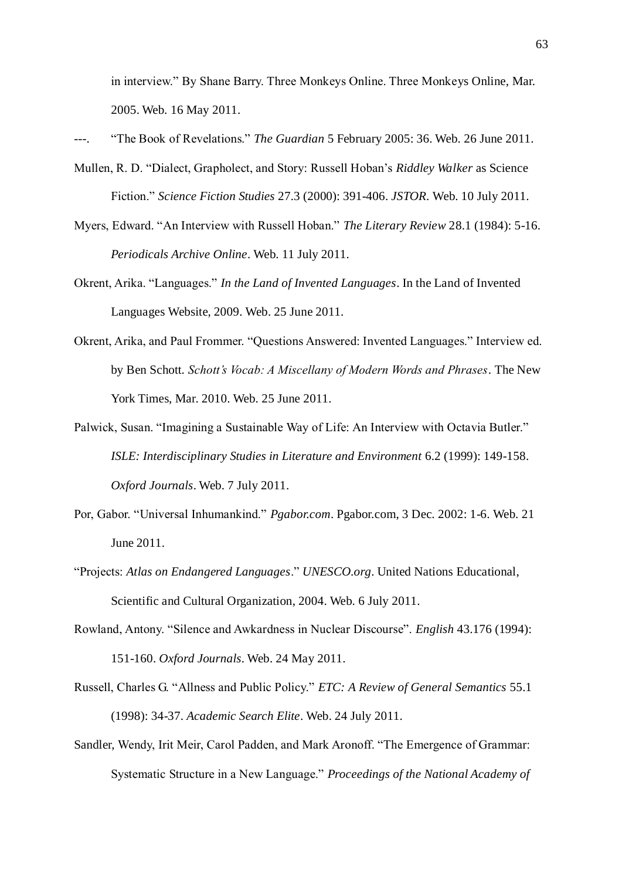in interview." By Shane Barry. Three Monkeys Online. Three Monkeys Online, Mar. 2005. Web. 16 May 2011.

"The Book of Revelations." *The Guardian* 5 February 2005: 36. Web. 26 June 2011.

- Mullen, R. D. "Dialect, Grapholect, and Story: Russell Hoban's *Riddley Walker* as Science Fiction.‖ *Science Fiction Studies* 27.3 (2000): 391-406. *JSTOR*. Web. 10 July 2011.
- Myers, Edward. "An Interview with Russell Hoban." *The Literary Review* 28.1 (1984): 5-16. *Periodicals Archive Online*. Web. 11 July 2011.
- Okrent, Arika. "Languages." *In the Land of Invented Languages*. In the Land of Invented Languages Website, 2009. Web. 25 June 2011.
- Okrent, Arika, and Paul Frommer. "Questions Answered: Invented Languages." Interview ed. by Ben Schott. *Schott's Vocab: A Miscellany of Modern Words and Phrases*. The New York Times, Mar. 2010. Web. 25 June 2011.
- Palwick, Susan. "Imagining a Sustainable Way of Life: An Interview with Octavia Butler." *ISLE: Interdisciplinary Studies in Literature and Environment* 6.2 (1999): 149-158. *Oxford Journals*. Web. 7 July 2011.
- Por, Gabor. "Universal Inhumankind." *Pgabor.com*. Pgabor.com, 3 Dec. 2002: 1-6. Web. 21 June 2011.
- ―Projects: *Atlas on Endangered Languages*.‖ *UNESCO.org*. United Nations Educational, Scientific and Cultural Organization, 2004. Web. 6 July 2011.
- Rowland, Antony. "Silence and Awkardness in Nuclear Discourse". *English* 43.176 (1994): 151-160. *Oxford Journals*. Web. 24 May 2011.
- Russell, Charles G. "Allness and Public Policy." *ETC: A Review of General Semantics* 55.1 (1998): 34-37. *Academic Search Elite*. Web. 24 July 2011.
- Sandler, Wendy, Irit Meir, Carol Padden, and Mark Aronoff. "The Emergence of Grammar: Systematic Structure in a New Language.‖ *Proceedings of the National Academy of*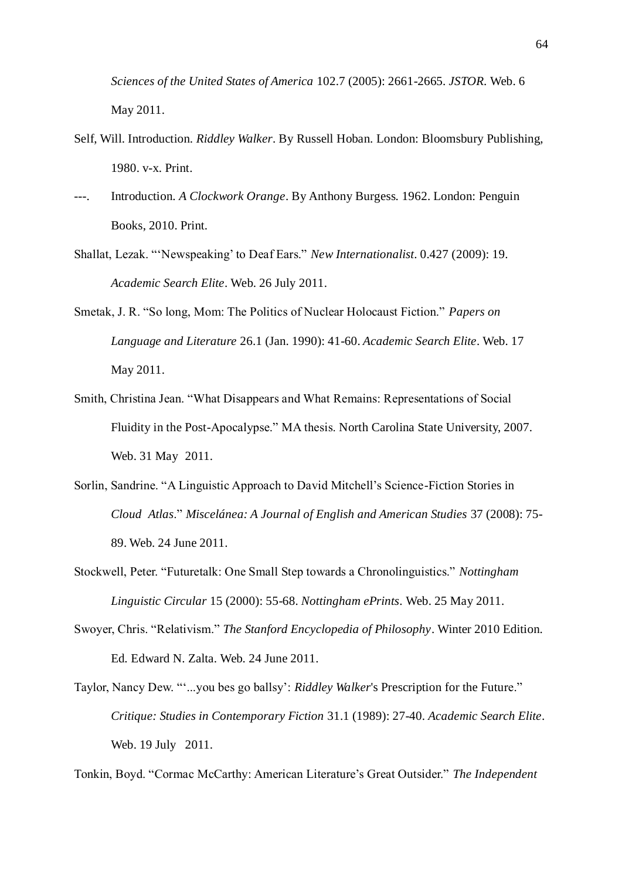*Sciences of the United States of America* 102.7 (2005): 2661-2665. *JSTOR*. Web. 6 May 2011.

- Self, Will. Introduction. *Riddley Walker*. By Russell Hoban. London: Bloomsbury Publishing, 1980. v-x. Print.
- ---. Introduction. *A Clockwork Orange*. By Anthony Burgess. 1962. London: Penguin Books, 2010. Print.
- Shallat, Lezak. "'Newspeaking' to Deaf Ears." *New Internationalist*. 0.427 (2009): 19. *Academic Search Elite*. Web. 26 July 2011.
- Smetak, J. R. "So long, Mom: The Politics of Nuclear Holocaust Fiction." *Papers on Language and Literature* 26.1 (Jan. 1990): 41-60. *Academic Search Elite*. Web. 17 May 2011.
- Smith, Christina Jean. "What Disappears and What Remains: Representations of Social Fluidity in the Post-Apocalypse." MA thesis. North Carolina State University, 2007. Web. 31 May 2011.
- Sorlin, Sandrine. "A Linguistic Approach to David Mitchell's Science-Fiction Stories in *Cloud Atlas*.‖ *Miscelánea: A Journal of English and American Studies* 37 (2008): 75- 89. Web. 24 June 2011.
- Stockwell, Peter. "Futuretalk: One Small Step towards a Chronolinguistics." *Nottingham Linguistic Circular* 15 (2000): 55-68. *Nottingham ePrints*. Web. 25 May 2011.
- Swoyer, Chris. "Relativism." The Stanford Encyclopedia of Philosophy. Winter 2010 Edition. Ed. Edward N. Zalta. Web. 24 June 2011.
- Taylor, Nancy Dew. ""...you bes go ballsy': *Riddley Walker's* Prescription for the Future." *Critique: Studies in Contemporary Fiction* 31.1 (1989): 27-40. *Academic Search Elite*. Web. 19 July 2011.

Tonkin, Boyd. "Cormac McCarthy: American Literature's Great Outsider." *The Independent*